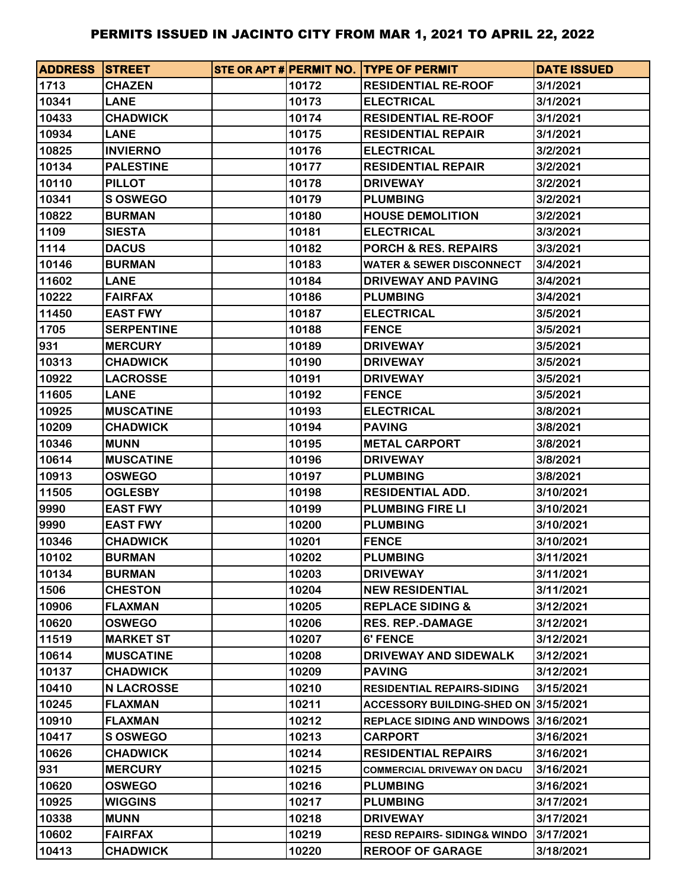| <b>ADDRESS STREET</b> |                   |       | STE OR APT # PERMIT NO. TYPE OF PERMIT | <b>DATE ISSUED</b> |
|-----------------------|-------------------|-------|----------------------------------------|--------------------|
| 1713                  | <b>CHAZEN</b>     | 10172 | <b>RESIDENTIAL RE-ROOF</b>             | 3/1/2021           |
| 10341                 | <b>LANE</b>       | 10173 | <b>ELECTRICAL</b>                      | 3/1/2021           |
| 10433                 | <b>CHADWICK</b>   | 10174 | <b>RESIDENTIAL RE-ROOF</b>             | 3/1/2021           |
| 10934                 | <b>LANE</b>       | 10175 | <b>RESIDENTIAL REPAIR</b>              | 3/1/2021           |
| 10825                 | <b>INVIERNO</b>   | 10176 | <b>ELECTRICAL</b>                      | 3/2/2021           |
| 10134                 | <b>PALESTINE</b>  | 10177 | <b>RESIDENTIAL REPAIR</b>              | 3/2/2021           |
| 10110                 | <b>PILLOT</b>     | 10178 | <b>DRIVEWAY</b>                        | 3/2/2021           |
| 10341                 | <b>S OSWEGO</b>   | 10179 | <b>PLUMBING</b>                        | 3/2/2021           |
| 10822                 | <b>BURMAN</b>     | 10180 | <b>HOUSE DEMOLITION</b>                | 3/2/2021           |
| 1109                  | <b>SIESTA</b>     | 10181 | <b>ELECTRICAL</b>                      | 3/3/2021           |
| 1114                  | <b>DACUS</b>      | 10182 | <b>PORCH &amp; RES. REPAIRS</b>        | 3/3/2021           |
| 10146                 | <b>BURMAN</b>     | 10183 | <b>WATER &amp; SEWER DISCONNECT</b>    | 3/4/2021           |
| 11602                 | <b>LANE</b>       | 10184 | DRIVEWAY AND PAVING                    | 3/4/2021           |
| 10222                 | <b>FAIRFAX</b>    | 10186 | <b>PLUMBING</b>                        | 3/4/2021           |
| 11450                 | <b>EAST FWY</b>   | 10187 | <b>ELECTRICAL</b>                      | 3/5/2021           |
| 1705                  | <b>SERPENTINE</b> | 10188 | <b>FENCE</b>                           | 3/5/2021           |
| 931                   | <b>MERCURY</b>    | 10189 | <b>DRIVEWAY</b>                        | 3/5/2021           |
| 10313                 | <b>CHADWICK</b>   | 10190 | <b>DRIVEWAY</b>                        | 3/5/2021           |
| 10922                 | <b>LACROSSE</b>   | 10191 | <b>DRIVEWAY</b>                        | 3/5/2021           |
| 11605                 | <b>LANE</b>       | 10192 | <b>FENCE</b>                           | 3/5/2021           |
| 10925                 | <b>MUSCATINE</b>  | 10193 | <b>ELECTRICAL</b>                      | 3/8/2021           |
| 10209                 | <b>CHADWICK</b>   | 10194 | <b>PAVING</b>                          | 3/8/2021           |
| 10346                 | <b>MUNN</b>       | 10195 | <b>METAL CARPORT</b>                   | 3/8/2021           |
| 10614                 | <b>MUSCATINE</b>  | 10196 | <b>DRIVEWAY</b>                        | 3/8/2021           |
| 10913                 | <b>OSWEGO</b>     | 10197 | <b>PLUMBING</b>                        | 3/8/2021           |
| 11505                 | <b>OGLESBY</b>    | 10198 | <b>RESIDENTIAL ADD.</b>                | 3/10/2021          |
| 9990                  | <b>EAST FWY</b>   | 10199 | <b>PLUMBING FIRE LI</b>                | 3/10/2021          |
| 9990                  | <b>EAST FWY</b>   | 10200 | <b>PLUMBING</b>                        | 3/10/2021          |
| 10346                 | <b>CHADWICK</b>   | 10201 | <b>FENCE</b>                           | 3/10/2021          |
| 10102                 | <b>BURMAN</b>     | 10202 | <b>PLUMBING</b>                        | 3/11/2021          |
| 10134                 | <b>BURMAN</b>     | 10203 | <b>DRIVEWAY</b>                        | 3/11/2021          |
| 1506                  | <b>CHESTON</b>    | 10204 | <b>NEW RESIDENTIAL</b>                 | 3/11/2021          |
| 10906                 | <b>FLAXMAN</b>    | 10205 | <b>REPLACE SIDING &amp;</b>            | 3/12/2021          |
| 10620                 | <b>OSWEGO</b>     | 10206 | <b>RES. REP.-DAMAGE</b>                | 3/12/2021          |
| 11519                 | <b>MARKET ST</b>  | 10207 | <b>6' FENCE</b>                        | 3/12/2021          |
| 10614                 | <b>MUSCATINE</b>  | 10208 | DRIVEWAY AND SIDEWALK                  | 3/12/2021          |
| 10137                 | <b>CHADWICK</b>   | 10209 | <b>PAVING</b>                          | 3/12/2021          |
| 10410                 | <b>N LACROSSE</b> | 10210 | <b>RESIDENTIAL REPAIRS-SIDING</b>      | 3/15/2021          |
| 10245                 | <b>FLAXMAN</b>    | 10211 | ACCESSORY BUILDING-SHED ON 3/15/2021   |                    |
| 10910                 | <b>FLAXMAN</b>    | 10212 | <b>REPLACE SIDING AND WINDOWS</b>      | 3/16/2021          |
| 10417                 | S OSWEGO          | 10213 | <b>CARPORT</b>                         | 3/16/2021          |
| 10626                 | <b>CHADWICK</b>   | 10214 | <b>RESIDENTIAL REPAIRS</b>             | 3/16/2021          |
| 931                   | <b>MERCURY</b>    | 10215 | <b>COMMERCIAL DRIVEWAY ON DACU</b>     | 3/16/2021          |
| 10620                 | <b>OSWEGO</b>     | 10216 | <b>PLUMBING</b>                        | 3/16/2021          |
| 10925                 | <b>WIGGINS</b>    | 10217 | <b>PLUMBING</b>                        | 3/17/2021          |
| 10338                 | <b>MUNN</b>       | 10218 | <b>DRIVEWAY</b>                        | 3/17/2021          |
| 10602                 | <b>FAIRFAX</b>    | 10219 | <b>RESD REPAIRS-SIDING&amp; WINDO</b>  | 3/17/2021          |
| 10413                 | <b>CHADWICK</b>   | 10220 | <b>REROOF OF GARAGE</b>                | 3/18/2021          |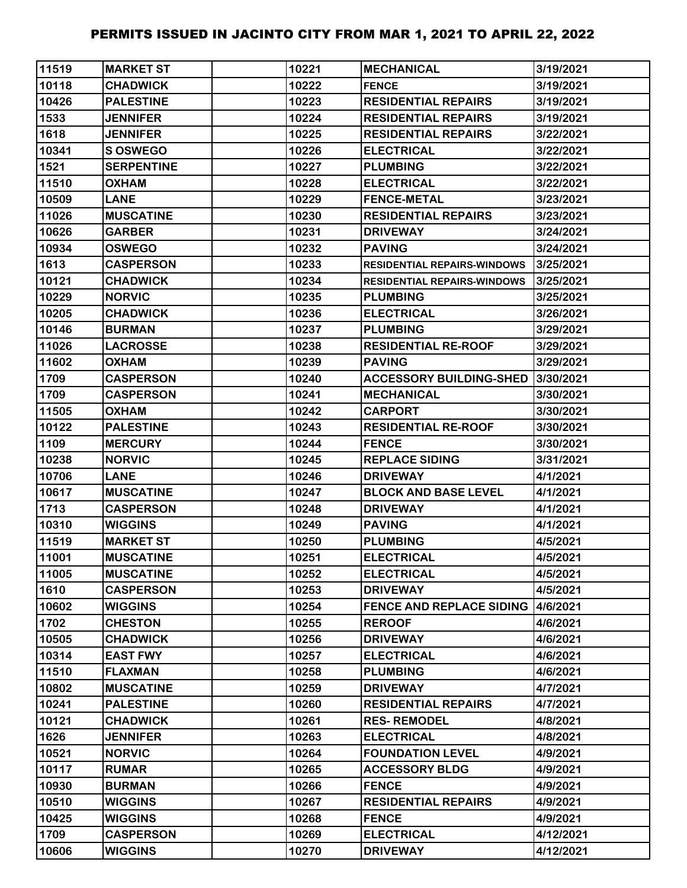| 11519 | <b>MARKET ST</b>  | 10221 | <b>MECHANICAL</b>                         | 3/19/2021 |
|-------|-------------------|-------|-------------------------------------------|-----------|
| 10118 | <b>CHADWICK</b>   | 10222 | <b>FENCE</b>                              | 3/19/2021 |
| 10426 | <b>PALESTINE</b>  | 10223 | <b>RESIDENTIAL REPAIRS</b>                | 3/19/2021 |
| 1533  | <b>JENNIFER</b>   | 10224 | <b>RESIDENTIAL REPAIRS</b>                | 3/19/2021 |
| 1618  | <b>JENNIFER</b>   | 10225 | <b>RESIDENTIAL REPAIRS</b>                | 3/22/2021 |
| 10341 | S OSWEGO          | 10226 | <b>ELECTRICAL</b>                         | 3/22/2021 |
| 1521  | <b>SERPENTINE</b> | 10227 | <b>PLUMBING</b>                           | 3/22/2021 |
| 11510 | <b>OXHAM</b>      | 10228 | <b>ELECTRICAL</b>                         | 3/22/2021 |
| 10509 | <b>LANE</b>       | 10229 | <b>FENCE-METAL</b>                        | 3/23/2021 |
| 11026 | <b>MUSCATINE</b>  | 10230 | <b>RESIDENTIAL REPAIRS</b>                | 3/23/2021 |
| 10626 | <b>GARBER</b>     | 10231 | <b>DRIVEWAY</b>                           | 3/24/2021 |
| 10934 | <b>OSWEGO</b>     | 10232 | <b>PAVING</b>                             | 3/24/2021 |
| 1613  | <b>CASPERSON</b>  | 10233 | <b>RESIDENTIAL REPAIRS-WINDOWS</b>        | 3/25/2021 |
| 10121 | <b>CHADWICK</b>   | 10234 | <b>RESIDENTIAL REPAIRS-WINDOWS</b>        | 3/25/2021 |
| 10229 | <b>NORVIC</b>     | 10235 | <b>PLUMBING</b>                           | 3/25/2021 |
| 10205 | <b>CHADWICK</b>   | 10236 | <b>ELECTRICAL</b>                         | 3/26/2021 |
| 10146 | <b>BURMAN</b>     | 10237 | <b>PLUMBING</b>                           | 3/29/2021 |
| 11026 | <b>LACROSSE</b>   | 10238 | <b>RESIDENTIAL RE-ROOF</b>                | 3/29/2021 |
| 11602 | <b>OXHAM</b>      | 10239 | <b>PAVING</b>                             | 3/29/2021 |
| 1709  | <b>CASPERSON</b>  | 10240 | <b>ACCESSORY BUILDING-SHED</b>            | 3/30/2021 |
| 1709  | <b>CASPERSON</b>  | 10241 | <b>MECHANICAL</b>                         | 3/30/2021 |
| 11505 | <b>OXHAM</b>      | 10242 | <b>CARPORT</b>                            | 3/30/2021 |
| 10122 | <b>PALESTINE</b>  | 10243 | <b>RESIDENTIAL RE-ROOF</b>                | 3/30/2021 |
| 1109  | <b>MERCURY</b>    | 10244 | <b>FENCE</b>                              | 3/30/2021 |
| 10238 | <b>NORVIC</b>     | 10245 | <b>REPLACE SIDING</b>                     | 3/31/2021 |
| 10706 | <b>LANE</b>       | 10246 | <b>DRIVEWAY</b>                           | 4/1/2021  |
| 10617 | <b>MUSCATINE</b>  | 10247 | <b>BLOCK AND BASE LEVEL</b>               | 4/1/2021  |
| 1713  | <b>CASPERSON</b>  | 10248 | <b>DRIVEWAY</b>                           | 4/1/2021  |
| 10310 | <b>WIGGINS</b>    | 10249 | <b>PAVING</b>                             | 4/1/2021  |
| 11519 | <b>MARKET ST</b>  | 10250 | <b>PLUMBING</b>                           | 4/5/2021  |
| 11001 | <b>MUSCATINE</b>  | 10251 | <b>ELECTRICAL</b>                         | 4/5/2021  |
| 11005 | <b>MUSCATINE</b>  | 10252 | <b>ELECTRICAL</b>                         | 4/5/2021  |
| 1610  | <b>CASPERSON</b>  | 10253 | <b>DRIVEWAY</b>                           | 4/5/2021  |
| 10602 | <b>WIGGINS</b>    | 10254 | <b>FENCE AND REPLACE SIDING 14/6/2021</b> |           |
| 1702  | <b>CHESTON</b>    | 10255 | <b>REROOF</b>                             | 4/6/2021  |
| 10505 | <b>CHADWICK</b>   | 10256 | <b>DRIVEWAY</b>                           | 4/6/2021  |
| 10314 | <b>EAST FWY</b>   | 10257 | <b>ELECTRICAL</b>                         | 4/6/2021  |
| 11510 | <b>FLAXMAN</b>    | 10258 | <b>PLUMBING</b>                           | 4/6/2021  |
| 10802 | <b>MUSCATINE</b>  | 10259 | <b>DRIVEWAY</b>                           | 4/7/2021  |
| 10241 | <b>PALESTINE</b>  | 10260 | <b>RESIDENTIAL REPAIRS</b>                | 4/7/2021  |
| 10121 | <b>CHADWICK</b>   | 10261 | <b>RES-REMODEL</b>                        | 4/8/2021  |
| 1626  | <b>JENNIFER</b>   | 10263 | <b>ELECTRICAL</b>                         | 4/8/2021  |
| 10521 | <b>NORVIC</b>     | 10264 | <b>FOUNDATION LEVEL</b>                   | 4/9/2021  |
| 10117 | <b>RUMAR</b>      | 10265 | <b>ACCESSORY BLDG</b>                     | 4/9/2021  |
| 10930 | <b>BURMAN</b>     | 10266 | <b>FENCE</b>                              | 4/9/2021  |
| 10510 | <b>WIGGINS</b>    | 10267 | <b>RESIDENTIAL REPAIRS</b>                | 4/9/2021  |
| 10425 | <b>WIGGINS</b>    | 10268 | <b>FENCE</b>                              | 4/9/2021  |
| 1709  | <b>CASPERSON</b>  | 10269 | <b>ELECTRICAL</b>                         | 4/12/2021 |
| 10606 | <b>WIGGINS</b>    | 10270 | <b>DRIVEWAY</b>                           | 4/12/2021 |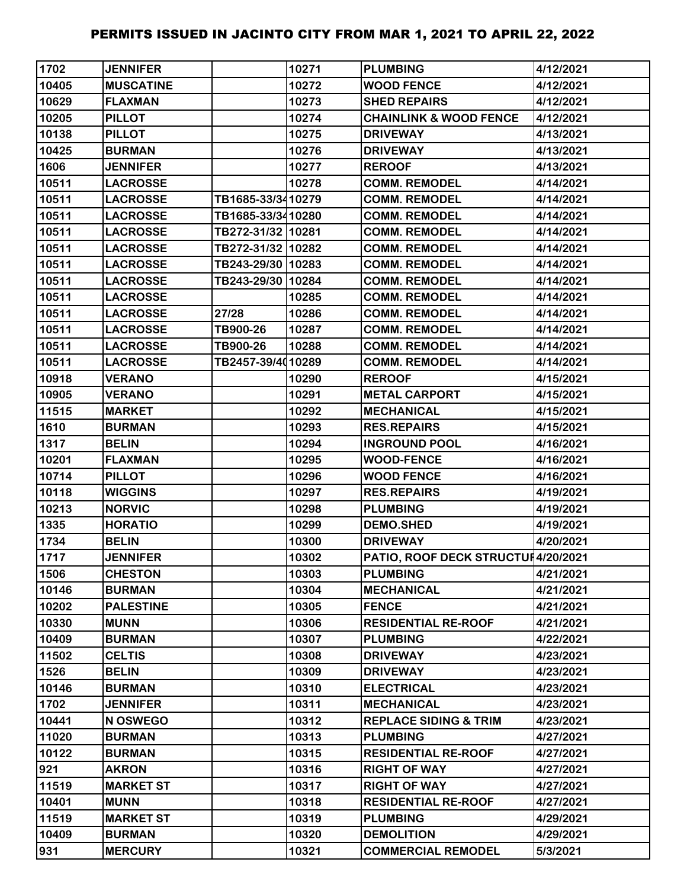| 1702  | <b>JENNIFER</b>  |                   | 10271 | <b>PLUMBING</b>                    | 4/12/2021 |
|-------|------------------|-------------------|-------|------------------------------------|-----------|
| 10405 | <b>MUSCATINE</b> |                   | 10272 | <b>WOOD FENCE</b>                  | 4/12/2021 |
| 10629 | <b>FLAXMAN</b>   |                   | 10273 | <b>SHED REPAIRS</b>                | 4/12/2021 |
| 10205 | <b>PILLOT</b>    |                   | 10274 | <b>CHAINLINK &amp; WOOD FENCE</b>  | 4/12/2021 |
| 10138 | <b>PILLOT</b>    |                   | 10275 | <b>DRIVEWAY</b>                    | 4/13/2021 |
| 10425 | <b>BURMAN</b>    |                   | 10276 | <b>DRIVEWAY</b>                    | 4/13/2021 |
| 1606  | <b>JENNIFER</b>  |                   | 10277 | <b>REROOF</b>                      | 4/13/2021 |
| 10511 | <b>LACROSSE</b>  |                   | 10278 | <b>COMM. REMODEL</b>               | 4/14/2021 |
| 10511 | <b>LACROSSE</b>  | TB1685-33/3410279 |       | <b>COMM. REMODEL</b>               | 4/14/2021 |
| 10511 | <b>LACROSSE</b>  | TB1685-33/3410280 |       | <b>COMM. REMODEL</b>               | 4/14/2021 |
| 10511 | <b>LACROSSE</b>  | TB272-31/32 10281 |       | <b>COMM. REMODEL</b>               | 4/14/2021 |
| 10511 | <b>LACROSSE</b>  | TB272-31/32 10282 |       | <b>COMM. REMODEL</b>               | 4/14/2021 |
| 10511 | <b>LACROSSE</b>  | TB243-29/30 10283 |       | <b>COMM. REMODEL</b>               | 4/14/2021 |
| 10511 | <b>LACROSSE</b>  | TB243-29/30 10284 |       | <b>COMM. REMODEL</b>               | 4/14/2021 |
| 10511 | <b>LACROSSE</b>  |                   | 10285 | <b>COMM. REMODEL</b>               | 4/14/2021 |
| 10511 | <b>LACROSSE</b>  | 27/28             | 10286 | <b>COMM. REMODEL</b>               | 4/14/2021 |
| 10511 | <b>LACROSSE</b>  | TB900-26          | 10287 | <b>COMM. REMODEL</b>               | 4/14/2021 |
| 10511 | <b>LACROSSE</b>  | TB900-26          | 10288 | <b>COMM. REMODEL</b>               | 4/14/2021 |
| 10511 | <b>LACROSSE</b>  | TB2457-39/4010289 |       | <b>COMM. REMODEL</b>               | 4/14/2021 |
| 10918 | <b>VERANO</b>    |                   | 10290 | <b>REROOF</b>                      | 4/15/2021 |
| 10905 | <b>VERANO</b>    |                   | 10291 | <b>METAL CARPORT</b>               | 4/15/2021 |
| 11515 | <b>MARKET</b>    |                   | 10292 | <b>MECHANICAL</b>                  | 4/15/2021 |
| 1610  | <b>BURMAN</b>    |                   | 10293 | <b>RES.REPAIRS</b>                 | 4/15/2021 |
| 1317  | <b>BELIN</b>     |                   | 10294 | <b>INGROUND POOL</b>               | 4/16/2021 |
| 10201 | <b>FLAXMAN</b>   |                   | 10295 | <b>WOOD-FENCE</b>                  | 4/16/2021 |
| 10714 | <b>PILLOT</b>    |                   | 10296 | <b>WOOD FENCE</b>                  | 4/16/2021 |
| 10118 | <b>WIGGINS</b>   |                   | 10297 | <b>RES.REPAIRS</b>                 | 4/19/2021 |
| 10213 | <b>NORVIC</b>    |                   | 10298 | <b>PLUMBING</b>                    | 4/19/2021 |
| 1335  | <b>HORATIO</b>   |                   | 10299 | <b>DEMO.SHED</b>                   | 4/19/2021 |
| 1734  | <b>BELIN</b>     |                   | 10300 | <b>DRIVEWAY</b>                    | 4/20/2021 |
| 1717  | <b>JENNIFER</b>  |                   | 10302 | PATIO, ROOF DECK STRUCTUI4/20/2021 |           |
| 1506  | <b>CHESTON</b>   |                   | 10303 | <b>PLUMBING</b>                    | 4/21/2021 |
| 10146 | <b>BURMAN</b>    |                   | 10304 | <b>MECHANICAL</b>                  | 4/21/2021 |
| 10202 | <b>PALESTINE</b> |                   | 10305 | <b>FENCE</b>                       | 4/21/2021 |
| 10330 | <b>MUNN</b>      |                   | 10306 | <b>RESIDENTIAL RE-ROOF</b>         | 4/21/2021 |
| 10409 | <b>BURMAN</b>    |                   | 10307 | <b>PLUMBING</b>                    | 4/22/2021 |
| 11502 | <b>CELTIS</b>    |                   | 10308 | <b>DRIVEWAY</b>                    | 4/23/2021 |
| 1526  | <b>BELIN</b>     |                   | 10309 | <b>DRIVEWAY</b>                    | 4/23/2021 |
| 10146 | <b>BURMAN</b>    |                   | 10310 | <b>ELECTRICAL</b>                  | 4/23/2021 |
| 1702  | <b>JENNIFER</b>  |                   | 10311 | <b>MECHANICAL</b>                  | 4/23/2021 |
| 10441 | N OSWEGO         |                   | 10312 | <b>REPLACE SIDING &amp; TRIM</b>   | 4/23/2021 |
| 11020 | <b>BURMAN</b>    |                   | 10313 | <b>PLUMBING</b>                    | 4/27/2021 |
| 10122 | <b>BURMAN</b>    |                   | 10315 | <b>RESIDENTIAL RE-ROOF</b>         | 4/27/2021 |
| 921   | <b>AKRON</b>     |                   | 10316 | <b>RIGHT OF WAY</b>                | 4/27/2021 |
| 11519 | <b>MARKET ST</b> |                   | 10317 | <b>RIGHT OF WAY</b>                | 4/27/2021 |
| 10401 | <b>MUNN</b>      |                   | 10318 | <b>RESIDENTIAL RE-ROOF</b>         | 4/27/2021 |
| 11519 | <b>MARKET ST</b> |                   | 10319 | <b>PLUMBING</b>                    | 4/29/2021 |
| 10409 | <b>BURMAN</b>    |                   | 10320 | <b>DEMOLITION</b>                  | 4/29/2021 |
| 931   | <b>MERCURY</b>   |                   | 10321 | <b>COMMERCIAL REMODEL</b>          | 5/3/2021  |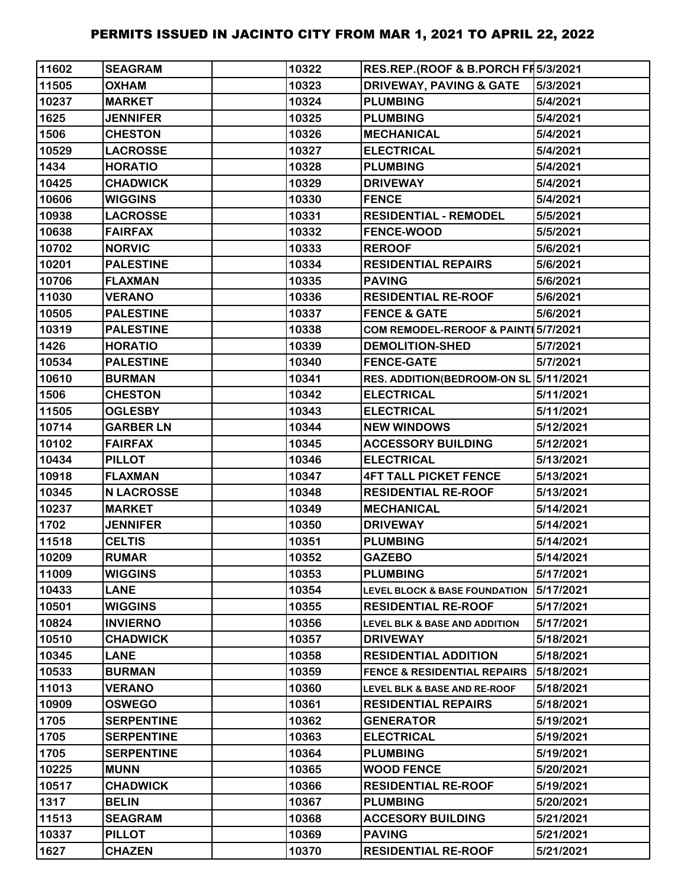| 11602 | <b>SEAGRAM</b>    | 10322 | RES.REP.(ROOF & B.PORCH FF 5/3/2021      |           |
|-------|-------------------|-------|------------------------------------------|-----------|
| 11505 | <b>OXHAM</b>      | 10323 | <b>DRIVEWAY, PAVING &amp; GATE</b>       | 5/3/2021  |
| 10237 | <b>MARKET</b>     | 10324 | <b>PLUMBING</b>                          | 5/4/2021  |
| 1625  | <b>JENNIFER</b>   | 10325 | <b>PLUMBING</b>                          | 5/4/2021  |
| 1506  | <b>CHESTON</b>    | 10326 | <b>MECHANICAL</b>                        | 5/4/2021  |
| 10529 | <b>LACROSSE</b>   | 10327 | <b>ELECTRICAL</b>                        | 5/4/2021  |
| 1434  | <b>HORATIO</b>    | 10328 | <b>PLUMBING</b>                          | 5/4/2021  |
| 10425 | <b>CHADWICK</b>   | 10329 | <b>DRIVEWAY</b>                          | 5/4/2021  |
| 10606 | <b>WIGGINS</b>    | 10330 | <b>FENCE</b>                             | 5/4/2021  |
| 10938 | <b>LACROSSE</b>   | 10331 | <b>RESIDENTIAL - REMODEL</b>             | 5/5/2021  |
| 10638 | <b>FAIRFAX</b>    | 10332 | <b>FENCE-WOOD</b>                        | 5/5/2021  |
| 10702 | <b>NORVIC</b>     | 10333 | <b>REROOF</b>                            | 5/6/2021  |
| 10201 | <b>PALESTINE</b>  | 10334 | <b>RESIDENTIAL REPAIRS</b>               | 5/6/2021  |
| 10706 | <b>FLAXMAN</b>    | 10335 | <b>PAVING</b>                            | 5/6/2021  |
| 11030 | <b>VERANO</b>     | 10336 | <b>RESIDENTIAL RE-ROOF</b>               | 5/6/2021  |
| 10505 | <b>PALESTINE</b>  | 10337 | <b>FENCE &amp; GATE</b>                  | 5/6/2021  |
| 10319 | <b>PALESTINE</b>  | 10338 | COM REMODEL-REROOF & PAINT 5/7/2021      |           |
| 1426  | <b>HORATIO</b>    | 10339 | <b>DEMOLITION-SHED</b>                   | 5/7/2021  |
| 10534 | <b>PALESTINE</b>  | 10340 | <b>FENCE-GATE</b>                        | 5/7/2021  |
| 10610 | <b>BURMAN</b>     | 10341 | RES. ADDITION(BEDROOM-ON SL 5/11/2021    |           |
| 1506  | <b>CHESTON</b>    | 10342 | <b>ELECTRICAL</b>                        | 5/11/2021 |
| 11505 | <b>OGLESBY</b>    | 10343 | <b>ELECTRICAL</b>                        | 5/11/2021 |
| 10714 | <b>GARBER LN</b>  | 10344 | <b>NEW WINDOWS</b>                       | 5/12/2021 |
| 10102 | <b>FAIRFAX</b>    | 10345 | <b>ACCESSORY BUILDING</b>                | 5/12/2021 |
| 10434 | <b>PILLOT</b>     | 10346 | <b>ELECTRICAL</b>                        | 5/13/2021 |
| 10918 | <b>FLAXMAN</b>    | 10347 | <b>4FT TALL PICKET FENCE</b>             | 5/13/2021 |
| 10345 | <b>N LACROSSE</b> | 10348 | <b>RESIDENTIAL RE-ROOF</b>               | 5/13/2021 |
| 10237 | <b>MARKET</b>     | 10349 | <b>MECHANICAL</b>                        | 5/14/2021 |
| 1702  | <b>JENNIFER</b>   | 10350 | <b>DRIVEWAY</b>                          | 5/14/2021 |
| 11518 | <b>CELTIS</b>     | 10351 | <b>PLUMBING</b>                          | 5/14/2021 |
| 10209 | <b>RUMAR</b>      | 10352 | <b>GAZEBO</b>                            | 5/14/2021 |
| 11009 | <b>WIGGINS</b>    | 10353 | <b>PLUMBING</b>                          | 5/17/2021 |
| 10433 | <b>LANE</b>       | 10354 | <b>LEVEL BLOCK &amp; BASE FOUNDATION</b> | 5/17/2021 |
| 10501 | <b>WIGGINS</b>    | 10355 | <b>RESIDENTIAL RE-ROOF</b>               | 5/17/2021 |
| 10824 | <b>INVIERNO</b>   | 10356 | <b>LEVEL BLK &amp; BASE AND ADDITION</b> | 5/17/2021 |
| 10510 | <b>CHADWICK</b>   | 10357 | <b>DRIVEWAY</b>                          | 5/18/2021 |
| 10345 | <b>LANE</b>       | 10358 | <b>RESIDENTIAL ADDITION</b>              | 5/18/2021 |
| 10533 | <b>BURMAN</b>     | 10359 | <b>FENCE &amp; RESIDENTIAL REPAIRS</b>   | 5/18/2021 |
| 11013 | <b>VERANO</b>     | 10360 | LEVEL BLK & BASE AND RE-ROOF             | 5/18/2021 |
| 10909 | <b>OSWEGO</b>     | 10361 | <b>RESIDENTIAL REPAIRS</b>               | 5/18/2021 |
| 1705  | <b>SERPENTINE</b> | 10362 | <b>GENERATOR</b>                         | 5/19/2021 |
| 1705  | <b>SERPENTINE</b> | 10363 | <b>ELECTRICAL</b>                        | 5/19/2021 |
| 1705  | <b>SERPENTINE</b> | 10364 | <b>PLUMBING</b>                          | 5/19/2021 |
| 10225 | <b>MUNN</b>       | 10365 | <b>WOOD FENCE</b>                        | 5/20/2021 |
| 10517 | <b>CHADWICK</b>   | 10366 | <b>RESIDENTIAL RE-ROOF</b>               | 5/19/2021 |
| 1317  | <b>BELIN</b>      | 10367 | <b>PLUMBING</b>                          | 5/20/2021 |
| 11513 | <b>SEAGRAM</b>    | 10368 | <b>ACCESORY BUILDING</b>                 | 5/21/2021 |
| 10337 | <b>PILLOT</b>     | 10369 | <b>PAVING</b>                            | 5/21/2021 |
| 1627  | <b>CHAZEN</b>     | 10370 | <b>RESIDENTIAL RE-ROOF</b>               | 5/21/2021 |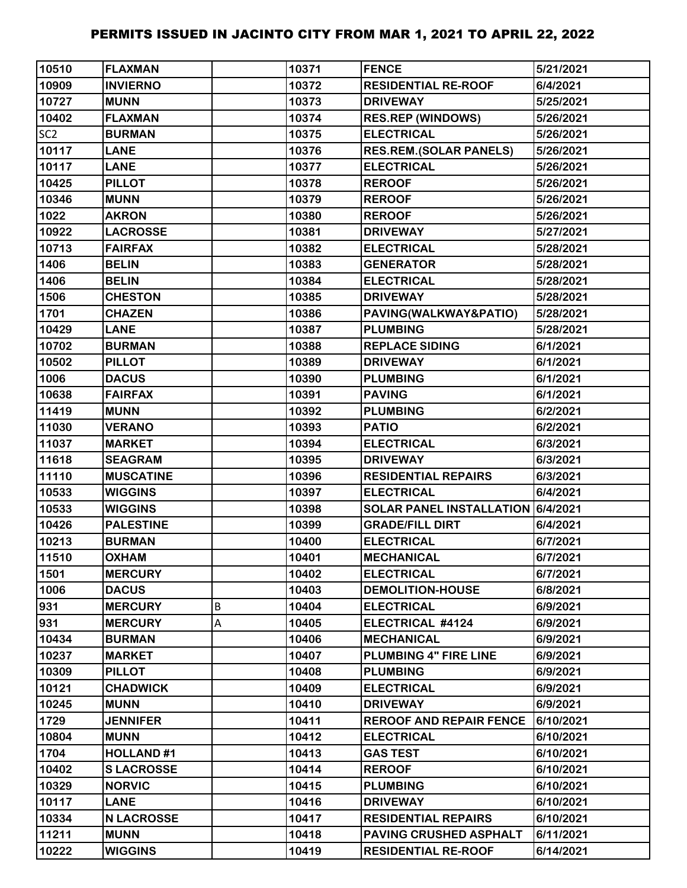| 10510           | <b>FLAXMAN</b>    |   | 10371 | <b>FENCE</b>                      | 5/21/2021 |
|-----------------|-------------------|---|-------|-----------------------------------|-----------|
| 10909           | <b>INVIERNO</b>   |   | 10372 | <b>RESIDENTIAL RE-ROOF</b>        | 6/4/2021  |
| 10727           | <b>MUNN</b>       |   | 10373 | <b>DRIVEWAY</b>                   | 5/25/2021 |
| 10402           | <b>FLAXMAN</b>    |   | 10374 | <b>RES.REP (WINDOWS)</b>          | 5/26/2021 |
| SC <sub>2</sub> | <b>BURMAN</b>     |   | 10375 | <b>ELECTRICAL</b>                 | 5/26/2021 |
| 10117           | <b>LANE</b>       |   | 10376 | <b>RES.REM.(SOLAR PANELS)</b>     | 5/26/2021 |
| 10117           | <b>LANE</b>       |   | 10377 | <b>ELECTRICAL</b>                 | 5/26/2021 |
| 10425           | <b>PILLOT</b>     |   | 10378 | <b>REROOF</b>                     | 5/26/2021 |
| 10346           | <b>MUNN</b>       |   | 10379 | <b>REROOF</b>                     | 5/26/2021 |
| 1022            | <b>AKRON</b>      |   | 10380 | <b>REROOF</b>                     | 5/26/2021 |
| 10922           | <b>LACROSSE</b>   |   | 10381 | <b>DRIVEWAY</b>                   | 5/27/2021 |
| 10713           | <b>FAIRFAX</b>    |   | 10382 | <b>ELECTRICAL</b>                 | 5/28/2021 |
| 1406            | <b>BELIN</b>      |   | 10383 | <b>GENERATOR</b>                  | 5/28/2021 |
| 1406            | <b>BELIN</b>      |   | 10384 | <b>ELECTRICAL</b>                 | 5/28/2021 |
| 1506            | <b>CHESTON</b>    |   | 10385 | <b>DRIVEWAY</b>                   | 5/28/2021 |
| 1701            | <b>CHAZEN</b>     |   | 10386 | PAVING(WALKWAY&PATIO)             | 5/28/2021 |
| 10429           | <b>LANE</b>       |   | 10387 | <b>PLUMBING</b>                   | 5/28/2021 |
| 10702           | <b>BURMAN</b>     |   | 10388 | <b>REPLACE SIDING</b>             | 6/1/2021  |
| 10502           | <b>PILLOT</b>     |   | 10389 | <b>DRIVEWAY</b>                   | 6/1/2021  |
| 1006            | <b>DACUS</b>      |   | 10390 | <b>PLUMBING</b>                   | 6/1/2021  |
| 10638           | <b>FAIRFAX</b>    |   | 10391 | <b>PAVING</b>                     | 6/1/2021  |
| 11419           | <b>MUNN</b>       |   | 10392 | <b>PLUMBING</b>                   | 6/2/2021  |
| 11030           | <b>VERANO</b>     |   | 10393 | <b>PATIO</b>                      | 6/2/2021  |
| 11037           | <b>MARKET</b>     |   | 10394 | <b>ELECTRICAL</b>                 | 6/3/2021  |
| 11618           | <b>SEAGRAM</b>    |   | 10395 | <b>DRIVEWAY</b>                   | 6/3/2021  |
| 11110           | <b>MUSCATINE</b>  |   | 10396 | <b>RESIDENTIAL REPAIRS</b>        | 6/3/2021  |
| 10533           | <b>WIGGINS</b>    |   | 10397 | <b>ELECTRICAL</b>                 | 6/4/2021  |
| 10533           | <b>WIGGINS</b>    |   | 10398 | SOLAR PANEL INSTALLATION 6/4/2021 |           |
| 10426           | <b>PALESTINE</b>  |   | 10399 | <b>GRADE/FILL DIRT</b>            | 6/4/2021  |
| 10213           | <b>BURMAN</b>     |   | 10400 | <b>ELECTRICAL</b>                 | 6/7/2021  |
| 11510           | <b>OXHAM</b>      |   | 10401 | <b>MECHANICAL</b>                 | 6/7/2021  |
| 1501            | <b>MERCURY</b>    |   | 10402 | <b>ELECTRICAL</b>                 | 6/7/2021  |
| 1006            | <b>DACUS</b>      |   | 10403 | <b>DEMOLITION-HOUSE</b>           | 6/8/2021  |
| 931             | <b>MERCURY</b>    | В | 10404 | <b>ELECTRICAL</b>                 | 6/9/2021  |
| 931             | <b>MERCURY</b>    | Α | 10405 | ELECTRICAL #4124                  | 6/9/2021  |
| 10434           | <b>BURMAN</b>     |   | 10406 | <b>MECHANICAL</b>                 | 6/9/2021  |
| 10237           | <b>MARKET</b>     |   | 10407 | PLUMBING 4" FIRE LINE             | 6/9/2021  |
| 10309           | <b>PILLOT</b>     |   | 10408 | <b>PLUMBING</b>                   | 6/9/2021  |
| 10121           | <b>CHADWICK</b>   |   | 10409 | <b>ELECTRICAL</b>                 | 6/9/2021  |
| 10245           | <b>MUNN</b>       |   | 10410 | <b>DRIVEWAY</b>                   | 6/9/2021  |
| 1729            | <b>JENNIFER</b>   |   | 10411 | <b>REROOF AND REPAIR FENCE</b>    | 6/10/2021 |
| 10804           | <b>MUNN</b>       |   | 10412 | <b>ELECTRICAL</b>                 | 6/10/2021 |
| 1704            | <b>HOLLAND#1</b>  |   | 10413 | <b>GAS TEST</b>                   | 6/10/2021 |
| 10402           | <b>SLACROSSE</b>  |   | 10414 | <b>REROOF</b>                     | 6/10/2021 |
| 10329           | <b>NORVIC</b>     |   | 10415 | <b>PLUMBING</b>                   | 6/10/2021 |
| 10117           | <b>LANE</b>       |   | 10416 | <b>DRIVEWAY</b>                   | 6/10/2021 |
| 10334           | <b>N LACROSSE</b> |   | 10417 | <b>RESIDENTIAL REPAIRS</b>        | 6/10/2021 |
| 11211           | <b>MUNN</b>       |   | 10418 | <b>PAVING CRUSHED ASPHALT</b>     | 6/11/2021 |
| 10222           | <b>WIGGINS</b>    |   | 10419 | <b>RESIDENTIAL RE-ROOF</b>        | 6/14/2021 |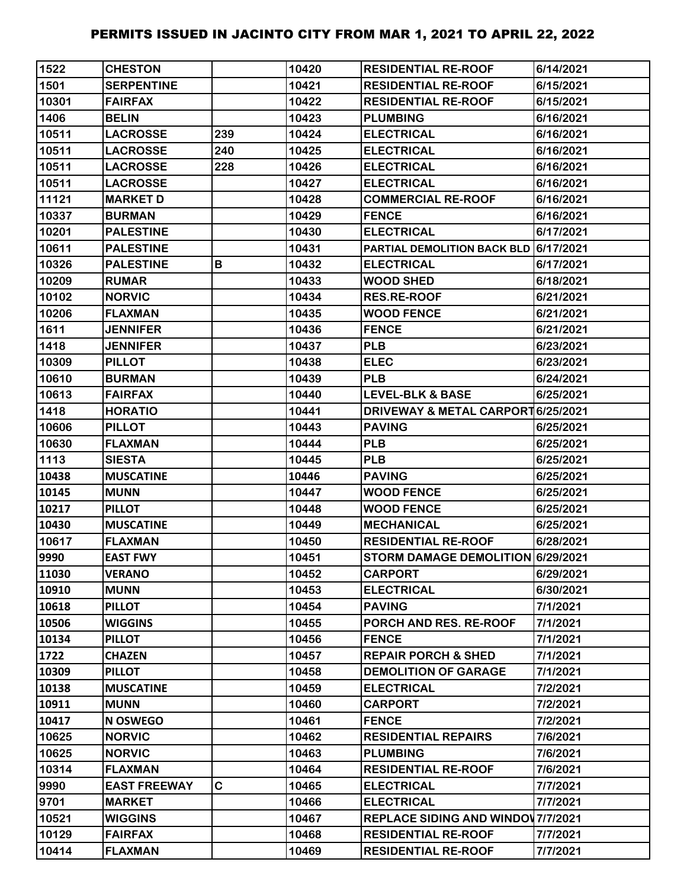| 1522  | <b>CHESTON</b>      |     | 10420 | <b>RESIDENTIAL RE-ROOF</b>                   | 6/14/2021 |
|-------|---------------------|-----|-------|----------------------------------------------|-----------|
| 1501  | <b>SERPENTINE</b>   |     | 10421 | <b>RESIDENTIAL RE-ROOF</b>                   | 6/15/2021 |
| 10301 | <b>FAIRFAX</b>      |     | 10422 | <b>RESIDENTIAL RE-ROOF</b>                   | 6/15/2021 |
| 1406  | <b>BELIN</b>        |     | 10423 | <b>PLUMBING</b>                              | 6/16/2021 |
| 10511 | <b>LACROSSE</b>     | 239 | 10424 | <b>ELECTRICAL</b>                            | 6/16/2021 |
| 10511 | <b>LACROSSE</b>     | 240 | 10425 | <b>ELECTRICAL</b>                            | 6/16/2021 |
| 10511 | <b>LACROSSE</b>     | 228 | 10426 | <b>ELECTRICAL</b>                            | 6/16/2021 |
| 10511 | <b>LACROSSE</b>     |     | 10427 | <b>ELECTRICAL</b>                            | 6/16/2021 |
| 11121 | <b>MARKET D</b>     |     | 10428 | <b>COMMERCIAL RE-ROOF</b>                    | 6/16/2021 |
| 10337 | <b>BURMAN</b>       |     | 10429 | <b>FENCE</b>                                 | 6/16/2021 |
| 10201 | <b>PALESTINE</b>    |     | 10430 | <b>ELECTRICAL</b>                            | 6/17/2021 |
| 10611 | <b>PALESTINE</b>    |     | 10431 | PARTIAL DEMOLITION BACK BLD 6/17/2021        |           |
| 10326 | <b>PALESTINE</b>    | В   | 10432 | <b>ELECTRICAL</b>                            | 6/17/2021 |
| 10209 | <b>RUMAR</b>        |     | 10433 | <b>WOOD SHED</b>                             | 6/18/2021 |
| 10102 | <b>NORVIC</b>       |     | 10434 | <b>RES.RE-ROOF</b>                           | 6/21/2021 |
| 10206 | <b>FLAXMAN</b>      |     | 10435 | <b>WOOD FENCE</b>                            | 6/21/2021 |
| 1611  | <b>JENNIFER</b>     |     | 10436 | <b>FENCE</b>                                 | 6/21/2021 |
| 1418  | <b>JENNIFER</b>     |     | 10437 | <b>PLB</b>                                   | 6/23/2021 |
| 10309 | <b>PILLOT</b>       |     | 10438 | <b>ELEC</b>                                  | 6/23/2021 |
| 10610 | <b>BURMAN</b>       |     | 10439 | <b>PLB</b>                                   | 6/24/2021 |
| 10613 | <b>FAIRFAX</b>      |     | 10440 | <b>LEVEL-BLK &amp; BASE</b>                  | 6/25/2021 |
| 1418  | <b>HORATIO</b>      |     | 10441 | <b>DRIVEWAY &amp; METAL CARPORT6/25/2021</b> |           |
| 10606 | <b>PILLOT</b>       |     | 10443 | <b>PAVING</b>                                | 6/25/2021 |
| 10630 | <b>FLAXMAN</b>      |     | 10444 | <b>PLB</b>                                   | 6/25/2021 |
| 1113  | <b>SIESTA</b>       |     | 10445 | <b>PLB</b>                                   | 6/25/2021 |
| 10438 | <b>MUSCATINE</b>    |     | 10446 | <b>PAVING</b>                                | 6/25/2021 |
| 10145 | <b>MUNN</b>         |     | 10447 | <b>WOOD FENCE</b>                            | 6/25/2021 |
| 10217 | <b>PILLOT</b>       |     | 10448 | <b>WOOD FENCE</b>                            | 6/25/2021 |
| 10430 | <b>MUSCATINE</b>    |     | 10449 | <b>MECHANICAL</b>                            | 6/25/2021 |
| 10617 | <b>FLAXMAN</b>      |     | 10450 | <b>RESIDENTIAL RE-ROOF</b>                   | 6/28/2021 |
| 9990  | <b>EAST FWY</b>     |     | 10451 | STORM DAMAGE DEMOLITION 6/29/2021            |           |
| 11030 | <b>VERANO</b>       |     | 10452 | <b>CARPORT</b>                               | 6/29/2021 |
| 10910 | <b>MUNN</b>         |     | 10453 | <b>ELECTRICAL</b>                            | 6/30/2021 |
| 10618 | <b>PILLOT</b>       |     | 10454 | <b>PAVING</b>                                | 7/1/2021  |
| 10506 | <b>WIGGINS</b>      |     | 10455 | PORCH AND RES. RE-ROOF                       | 7/1/2021  |
| 10134 | <b>PILLOT</b>       |     | 10456 | <b>FENCE</b>                                 | 7/1/2021  |
| 1722  | <b>CHAZEN</b>       |     | 10457 | <b>REPAIR PORCH &amp; SHED</b>               | 7/1/2021  |
| 10309 | <b>PILLOT</b>       |     | 10458 | <b>DEMOLITION OF GARAGE</b>                  | 7/1/2021  |
| 10138 | <b>MUSCATINE</b>    |     | 10459 | <b>ELECTRICAL</b>                            | 7/2/2021  |
| 10911 | <b>MUNN</b>         |     | 10460 | <b>CARPORT</b>                               | 7/2/2021  |
| 10417 | N OSWEGO            |     | 10461 | <b>FENCE</b>                                 | 7/2/2021  |
| 10625 | <b>NORVIC</b>       |     | 10462 | <b>RESIDENTIAL REPAIRS</b>                   | 7/6/2021  |
| 10625 | <b>NORVIC</b>       |     | 10463 | <b>PLUMBING</b>                              | 7/6/2021  |
| 10314 | <b>FLAXMAN</b>      |     | 10464 | <b>RESIDENTIAL RE-ROOF</b>                   | 7/6/2021  |
| 9990  | <b>EAST FREEWAY</b> | C.  | 10465 | <b>ELECTRICAL</b>                            | 7/7/2021  |
| 9701  | <b>MARKET</b>       |     | 10466 | <b>ELECTRICAL</b>                            | 7/7/2021  |
| 10521 | <b>WIGGINS</b>      |     | 10467 | <b>REPLACE SIDING AND WINDOW 7/7/2021</b>    |           |
| 10129 | <b>FAIRFAX</b>      |     | 10468 | <b>RESIDENTIAL RE-ROOF</b>                   | 7/7/2021  |
| 10414 | <b>FLAXMAN</b>      |     | 10469 | <b>RESIDENTIAL RE-ROOF</b>                   | 7/7/2021  |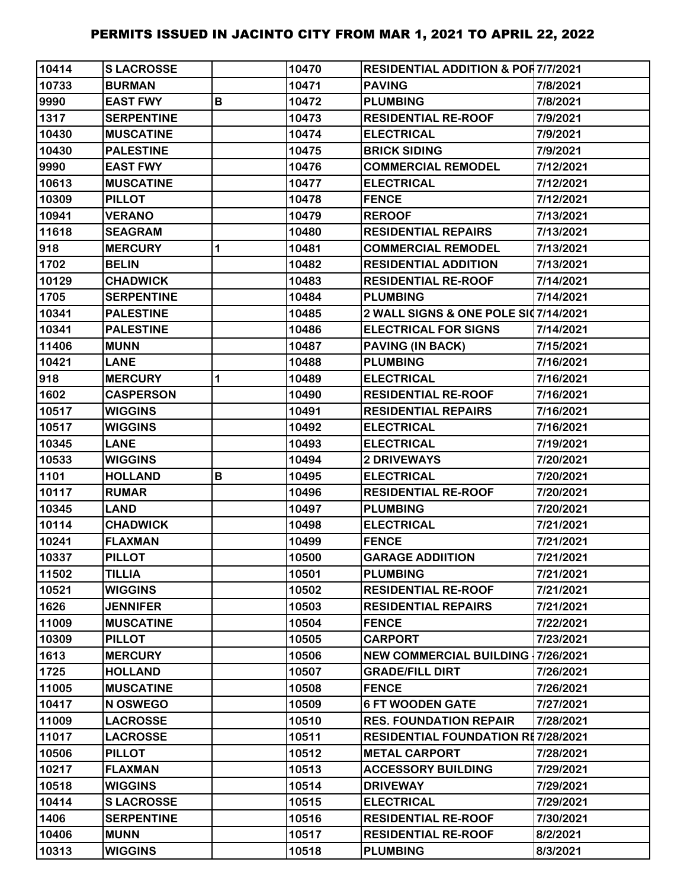| 10414          | <b>SLACROSSE</b>              |   | 10470          | <b>RESIDENTIAL ADDITION &amp; POR7/7/2021</b> |                      |
|----------------|-------------------------------|---|----------------|-----------------------------------------------|----------------------|
| 10733          | <b>BURMAN</b>                 |   | 10471          | <b>PAVING</b>                                 | 7/8/2021             |
| 9990           | <b>EAST FWY</b>               | B | 10472          | <b>PLUMBING</b>                               | 7/8/2021             |
| 1317           | <b>SERPENTINE</b>             |   | 10473          | <b>RESIDENTIAL RE-ROOF</b>                    | 7/9/2021             |
| 10430          | <b>MUSCATINE</b>              |   | 10474          | <b>ELECTRICAL</b>                             | 7/9/2021             |
| 10430          | <b>PALESTINE</b>              |   | 10475          | <b>BRICK SIDING</b>                           | 7/9/2021             |
| 9990           | <b>EAST FWY</b>               |   | 10476          | <b>COMMERCIAL REMODEL</b>                     | 7/12/2021            |
| 10613          | <b>MUSCATINE</b>              |   | 10477          | <b>ELECTRICAL</b>                             | 7/12/2021            |
| 10309          | <b>PILLOT</b>                 |   | 10478          | <b>FENCE</b>                                  | 7/12/2021            |
| 10941          | <b>VERANO</b>                 |   | 10479          | <b>REROOF</b>                                 | 7/13/2021            |
| 11618          | <b>SEAGRAM</b>                |   | 10480          | <b>RESIDENTIAL REPAIRS</b>                    | 7/13/2021            |
| 918            | <b>MERCURY</b>                | 1 | 10481          | <b>COMMERCIAL REMODEL</b>                     | 7/13/2021            |
| 1702           | <b>BELIN</b>                  |   | 10482          | <b>RESIDENTIAL ADDITION</b>                   | 7/13/2021            |
| 10129          | <b>CHADWICK</b>               |   | 10483          | <b>RESIDENTIAL RE-ROOF</b>                    | 7/14/2021            |
| 1705           | <b>SERPENTINE</b>             |   | 10484          | <b>PLUMBING</b>                               | 7/14/2021            |
| 10341          | <b>PALESTINE</b>              |   | 10485          | 2 WALL SIGNS & ONE POLE SI07/14/2021          |                      |
| 10341          | <b>PALESTINE</b>              |   | 10486          | <b>ELECTRICAL FOR SIGNS</b>                   | 7/14/2021            |
| 11406          | <b>MUNN</b>                   |   | 10487          | <b>PAVING (IN BACK)</b>                       | 7/15/2021            |
| 10421          | <b>LANE</b>                   |   | 10488          | <b>PLUMBING</b>                               | 7/16/2021            |
| 918            | <b>MERCURY</b>                | 1 | 10489          | <b>ELECTRICAL</b>                             | 7/16/2021            |
| 1602           | <b>CASPERSON</b>              |   | 10490          | <b>RESIDENTIAL RE-ROOF</b>                    | 7/16/2021            |
| 10517          | <b>WIGGINS</b>                |   | 10491          | <b>RESIDENTIAL REPAIRS</b>                    | 7/16/2021            |
| 10517          | <b>WIGGINS</b>                |   | 10492          | <b>ELECTRICAL</b>                             | 7/16/2021            |
| 10345          | <b>LANE</b>                   |   | 10493          | <b>ELECTRICAL</b>                             | 7/19/2021            |
| 10533          | <b>WIGGINS</b>                |   | 10494          | <b>2 DRIVEWAYS</b>                            | 7/20/2021            |
| 1101           | <b>HOLLAND</b>                | B | 10495          | <b>ELECTRICAL</b>                             | 7/20/2021            |
| 10117          | <b>RUMAR</b>                  |   | 10496          | <b>RESIDENTIAL RE-ROOF</b>                    | 7/20/2021            |
| 10345          | <b>LAND</b>                   |   | 10497          | <b>PLUMBING</b>                               | 7/20/2021            |
| 10114          | <b>CHADWICK</b>               |   | 10498          | <b>ELECTRICAL</b>                             | 7/21/2021            |
| 10241          | <b>FLAXMAN</b>                |   | 10499          | <b>FENCE</b>                                  | 7/21/2021            |
| 10337          | <b>PILLOT</b>                 |   | 10500          | <b>GARAGE ADDIITION</b>                       | 7/21/2021            |
| 11502          | <b>TILLIA</b>                 |   | 10501          | <b>PLUMBING</b>                               | 7/21/2021            |
| 10521          | <b>WIGGINS</b>                |   |                |                                               |                      |
| 1626           |                               |   | 10502          | <b>RESIDENTIAL RE-ROOF</b>                    | 7/21/2021            |
| 11009          | <b>JENNIFER</b>               |   | 10503          | <b>RESIDENTIAL REPAIRS</b>                    | 7/21/2021            |
|                | <b>MUSCATINE</b>              |   | 10504          | <b>FENCE</b>                                  | 7/22/2021            |
| 10309          | <b>PILLOT</b>                 |   | 10505          | <b>CARPORT</b>                                | 7/23/2021            |
| 1613           | <b>MERCURY</b>                |   | 10506          | <b>NEW COMMERCIAL BUILDING 17/26/2021</b>     |                      |
| 1725           | <b>HOLLAND</b>                |   | 10507          | <b>GRADE/FILL DIRT</b>                        | 7/26/2021            |
| 11005          | <b>MUSCATINE</b>              |   | 10508          | <b>FENCE</b>                                  | 7/26/2021            |
| 10417          | N OSWEGO                      |   | 10509          | <b>6 FT WOODEN GATE</b>                       | 7/27/2021            |
| 11009          | <b>LACROSSE</b>               |   | 10510          | <b>RES. FOUNDATION REPAIR</b>                 | 7/28/2021            |
| 11017          | <b>LACROSSE</b>               |   | 10511          | RESIDENTIAL FOUNDATION RE7/28/2021            |                      |
| 10506          | <b>PILLOT</b>                 |   | 10512          | <b>METAL CARPORT</b>                          | 7/28/2021            |
| 10217          | <b>FLAXMAN</b>                |   | 10513          | <b>ACCESSORY BUILDING</b>                     | 7/29/2021            |
| 10518          | <b>WIGGINS</b>                |   | 10514          | <b>DRIVEWAY</b>                               | 7/29/2021            |
| 10414          | <b>SLACROSSE</b>              |   | 10515          | <b>ELECTRICAL</b>                             | 7/29/2021            |
| 1406           | <b>SERPENTINE</b>             |   | 10516          | <b>RESIDENTIAL RE-ROOF</b>                    | 7/30/2021            |
| 10406<br>10313 | <b>MUNN</b><br><b>WIGGINS</b> |   | 10517<br>10518 | <b>RESIDENTIAL RE-ROOF</b><br><b>PLUMBING</b> | 8/2/2021<br>8/3/2021 |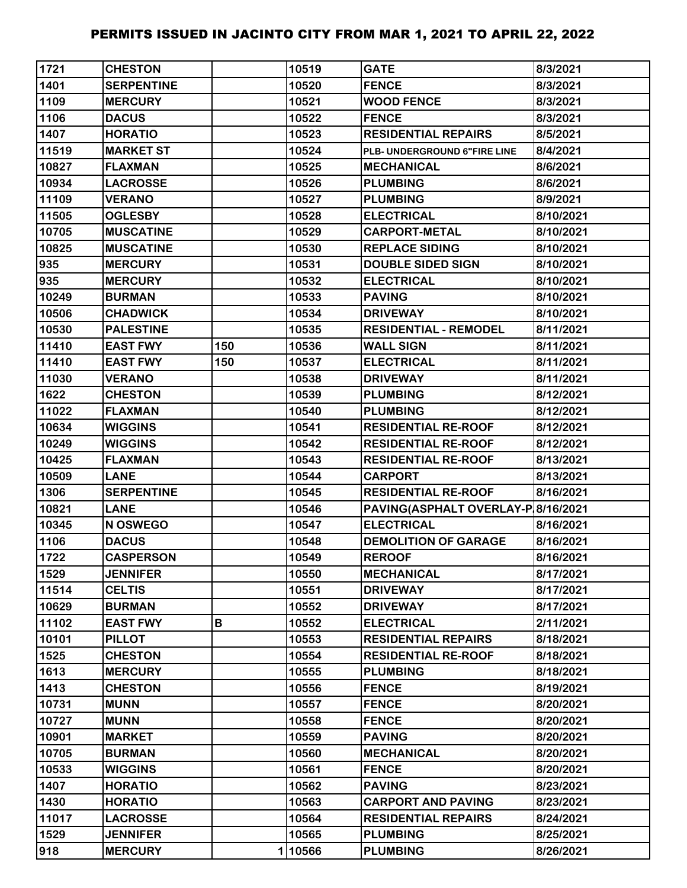| 1721  | <b>CHESTON</b>    |     | 10519  | <b>GATE</b>                        | 8/3/2021  |
|-------|-------------------|-----|--------|------------------------------------|-----------|
| 1401  | <b>SERPENTINE</b> |     | 10520  | <b>FENCE</b>                       | 8/3/2021  |
| 1109  | <b>MERCURY</b>    |     | 10521  | <b>WOOD FENCE</b>                  | 8/3/2021  |
| 1106  | <b>DACUS</b>      |     | 10522  | <b>FENCE</b>                       | 8/3/2021  |
| 1407  | <b>HORATIO</b>    |     | 10523  | <b>RESIDENTIAL REPAIRS</b>         | 8/5/2021  |
| 11519 | <b>MARKET ST</b>  |     | 10524  | PLB- UNDERGROUND 6"FIRE LINE       | 8/4/2021  |
| 10827 | <b>FLAXMAN</b>    |     | 10525  | <b>MECHANICAL</b>                  | 8/6/2021  |
| 10934 | <b>LACROSSE</b>   |     | 10526  | <b>PLUMBING</b>                    | 8/6/2021  |
| 11109 | <b>VERANO</b>     |     | 10527  | <b>PLUMBING</b>                    | 8/9/2021  |
| 11505 | <b>OGLESBY</b>    |     | 10528  | <b>ELECTRICAL</b>                  | 8/10/2021 |
| 10705 | <b>MUSCATINE</b>  |     | 10529  | <b>CARPORT-METAL</b>               | 8/10/2021 |
| 10825 | <b>MUSCATINE</b>  |     | 10530  | <b>REPLACE SIDING</b>              | 8/10/2021 |
| 935   | <b>MERCURY</b>    |     | 10531  | <b>DOUBLE SIDED SIGN</b>           | 8/10/2021 |
| 935   | <b>MERCURY</b>    |     | 10532  | <b>ELECTRICAL</b>                  | 8/10/2021 |
| 10249 | <b>BURMAN</b>     |     | 10533  | <b>PAVING</b>                      | 8/10/2021 |
| 10506 | <b>CHADWICK</b>   |     | 10534  | <b>DRIVEWAY</b>                    | 8/10/2021 |
| 10530 | <b>PALESTINE</b>  |     | 10535  | <b>RESIDENTIAL - REMODEL</b>       | 8/11/2021 |
| 11410 | <b>EAST FWY</b>   | 150 | 10536  | <b>WALL SIGN</b>                   | 8/11/2021 |
| 11410 | <b>EAST FWY</b>   | 150 | 10537  | <b>ELECTRICAL</b>                  | 8/11/2021 |
| 11030 | <b>VERANO</b>     |     | 10538  | <b>DRIVEWAY</b>                    | 8/11/2021 |
| 1622  | <b>CHESTON</b>    |     | 10539  | <b>PLUMBING</b>                    | 8/12/2021 |
| 11022 | <b>FLAXMAN</b>    |     | 10540  | <b>PLUMBING</b>                    | 8/12/2021 |
| 10634 | <b>WIGGINS</b>    |     | 10541  | <b>RESIDENTIAL RE-ROOF</b>         | 8/12/2021 |
| 10249 | <b>WIGGINS</b>    |     | 10542  | <b>RESIDENTIAL RE-ROOF</b>         | 8/12/2021 |
| 10425 | <b>FLAXMAN</b>    |     | 10543  | <b>RESIDENTIAL RE-ROOF</b>         | 8/13/2021 |
| 10509 | <b>LANE</b>       |     | 10544  | <b>CARPORT</b>                     | 8/13/2021 |
| 1306  | <b>SERPENTINE</b> |     | 10545  | <b>RESIDENTIAL RE-ROOF</b>         | 8/16/2021 |
| 10821 | <b>LANE</b>       |     | 10546  | PAVING(ASPHALT OVERLAY-P 8/16/2021 |           |
| 10345 | N OSWEGO          |     | 10547  | <b>ELECTRICAL</b>                  | 8/16/2021 |
| 1106  | <b>DACUS</b>      |     | 10548  | <b>DEMOLITION OF GARAGE</b>        | 8/16/2021 |
| 1722  | <b>CASPERSON</b>  |     | 10549  | <b>REROOF</b>                      | 8/16/2021 |
| 1529  | <b>JENNIFER</b>   |     | 10550  | <b>MECHANICAL</b>                  | 8/17/2021 |
| 11514 | <b>CELTIS</b>     |     | 10551  | <b>DRIVEWAY</b>                    | 8/17/2021 |
| 10629 | <b>BURMAN</b>     |     | 10552  | <b>DRIVEWAY</b>                    | 8/17/2021 |
| 11102 | <b>EAST FWY</b>   | B   | 10552  | <b>ELECTRICAL</b>                  | 2/11/2021 |
| 10101 | <b>PILLOT</b>     |     | 10553  | <b>RESIDENTIAL REPAIRS</b>         | 8/18/2021 |
| 1525  | <b>CHESTON</b>    |     | 10554  | <b>RESIDENTIAL RE-ROOF</b>         | 8/18/2021 |
| 1613  | <b>MERCURY</b>    |     | 10555  | <b>PLUMBING</b>                    | 8/18/2021 |
| 1413  | <b>CHESTON</b>    |     | 10556  | <b>FENCE</b>                       | 8/19/2021 |
| 10731 | <b>MUNN</b>       |     | 10557  | <b>FENCE</b>                       | 8/20/2021 |
| 10727 | <b>MUNN</b>       |     | 10558  | <b>FENCE</b>                       | 8/20/2021 |
| 10901 | <b>MARKET</b>     |     | 10559  | <b>PAVING</b>                      | 8/20/2021 |
| 10705 | <b>BURMAN</b>     |     | 10560  | <b>MECHANICAL</b>                  | 8/20/2021 |
| 10533 | <b>WIGGINS</b>    |     | 10561  | <b>FENCE</b>                       | 8/20/2021 |
| 1407  | <b>HORATIO</b>    |     | 10562  | <b>PAVING</b>                      | 8/23/2021 |
| 1430  | <b>HORATIO</b>    |     | 10563  | <b>CARPORT AND PAVING</b>          | 8/23/2021 |
| 11017 | <b>LACROSSE</b>   |     | 10564  | <b>RESIDENTIAL REPAIRS</b>         | 8/24/2021 |
| 1529  | <b>JENNIFER</b>   |     | 10565  | <b>PLUMBING</b>                    | 8/25/2021 |
| 918   | <b>MERCURY</b>    |     | 110566 | <b>PLUMBING</b>                    | 8/26/2021 |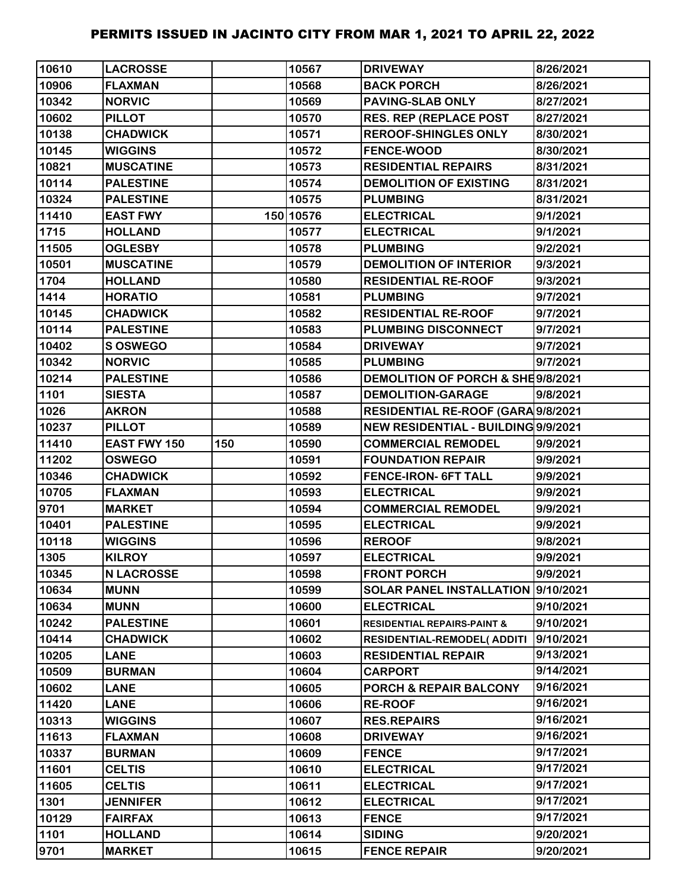| 10610 | <b>LACROSSE</b>     |     | 10567     | <b>DRIVEWAY</b>                        | 8/26/2021 |
|-------|---------------------|-----|-----------|----------------------------------------|-----------|
| 10906 | <b>FLAXMAN</b>      |     | 10568     | <b>BACK PORCH</b>                      | 8/26/2021 |
| 10342 | <b>NORVIC</b>       |     | 10569     | <b>PAVING-SLAB ONLY</b>                | 8/27/2021 |
| 10602 | <b>PILLOT</b>       |     | 10570     | <b>RES. REP (REPLACE POST</b>          | 8/27/2021 |
| 10138 | <b>CHADWICK</b>     |     | 10571     | <b>REROOF-SHINGLES ONLY</b>            | 8/30/2021 |
| 10145 | <b>WIGGINS</b>      |     | 10572     | <b>FENCE-WOOD</b>                      | 8/30/2021 |
| 10821 | <b>MUSCATINE</b>    |     | 10573     | <b>RESIDENTIAL REPAIRS</b>             | 8/31/2021 |
| 10114 | <b>PALESTINE</b>    |     | 10574     | <b>DEMOLITION OF EXISTING</b>          | 8/31/2021 |
| 10324 | <b>PALESTINE</b>    |     | 10575     | <b>PLUMBING</b>                        | 8/31/2021 |
| 11410 | <b>EAST FWY</b>     |     | 150 10576 | <b>ELECTRICAL</b>                      | 9/1/2021  |
| 1715  | <b>HOLLAND</b>      |     | 10577     | <b>ELECTRICAL</b>                      | 9/1/2021  |
| 11505 | <b>OGLESBY</b>      |     | 10578     | <b>PLUMBING</b>                        | 9/2/2021  |
| 10501 | <b>MUSCATINE</b>    |     | 10579     | <b>DEMOLITION OF INTERIOR</b>          | 9/3/2021  |
| 1704  | <b>HOLLAND</b>      |     | 10580     | <b>RESIDENTIAL RE-ROOF</b>             | 9/3/2021  |
| 1414  | <b>HORATIO</b>      |     | 10581     | <b>PLUMBING</b>                        | 9/7/2021  |
| 10145 | <b>CHADWICK</b>     |     | 10582     | <b>RESIDENTIAL RE-ROOF</b>             | 9/7/2021  |
| 10114 | <b>PALESTINE</b>    |     | 10583     | <b>PLUMBING DISCONNECT</b>             | 9/7/2021  |
| 10402 | <b>S OSWEGO</b>     |     | 10584     | <b>DRIVEWAY</b>                        | 9/7/2021  |
| 10342 | <b>NORVIC</b>       |     | 10585     | <b>PLUMBING</b>                        | 9/7/2021  |
| 10214 | <b>PALESTINE</b>    |     | 10586     | DEMOLITION OF PORCH & SHE9/8/2021      |           |
| 1101  | <b>SIESTA</b>       |     | 10587     | <b>DEMOLITION-GARAGE</b>               | 9/8/2021  |
| 1026  | <b>AKRON</b>        |     | 10588     | RESIDENTIAL RE-ROOF (GARA 9/8/2021     |           |
| 10237 | <b>PILLOT</b>       |     | 10589     | NEW RESIDENTIAL - BUILDING 9/9/2021    |           |
| 11410 | <b>EAST FWY 150</b> | 150 | 10590     | <b>COMMERCIAL REMODEL</b>              | 9/9/2021  |
| 11202 | <b>OSWEGO</b>       |     | 10591     | <b>FOUNDATION REPAIR</b>               | 9/9/2021  |
| 10346 | <b>CHADWICK</b>     |     | 10592     | <b>FENCE-IRON- 6FT TALL</b>            | 9/9/2021  |
| 10705 | <b>FLAXMAN</b>      |     | 10593     | <b>ELECTRICAL</b>                      | 9/9/2021  |
| 9701  | <b>MARKET</b>       |     | 10594     | <b>COMMERCIAL REMODEL</b>              | 9/9/2021  |
| 10401 | <b>PALESTINE</b>    |     | 10595     | <b>ELECTRICAL</b>                      | 9/9/2021  |
| 10118 | <b>WIGGINS</b>      |     | 10596     | <b>REROOF</b>                          | 9/8/2021  |
| 1305  | <b>KILROY</b>       |     | 10597     | <b>ELECTRICAL</b>                      | 9/9/2021  |
| 10345 | <b>N LACROSSE</b>   |     | 10598     | <b>FRONT PORCH</b>                     | 9/9/2021  |
| 10634 | <b>MUNN</b>         |     | 10599     | SOLAR PANEL INSTALLATION 9/10/2021     |           |
| 10634 | <b>MUNN</b>         |     | 10600     | <b>ELECTRICAL</b>                      | 9/10/2021 |
| 10242 | <b>PALESTINE</b>    |     | 10601     | <b>RESIDENTIAL REPAIRS-PAINT &amp;</b> | 9/10/2021 |
| 10414 | <b>CHADWICK</b>     |     | 10602     | <b>RESIDENTIAL-REMODEL( ADDITI</b>     | 9/10/2021 |
| 10205 | <b>LANE</b>         |     | 10603     | <b>RESIDENTIAL REPAIR</b>              | 9/13/2021 |
| 10509 | <b>BURMAN</b>       |     | 10604     | <b>CARPORT</b>                         | 9/14/2021 |
| 10602 | <b>LANE</b>         |     | 10605     | <b>PORCH &amp; REPAIR BALCONY</b>      | 9/16/2021 |
| 11420 | <b>LANE</b>         |     | 10606     | <b>RE-ROOF</b>                         | 9/16/2021 |
| 10313 | <b>WIGGINS</b>      |     | 10607     | <b>RES.REPAIRS</b>                     | 9/16/2021 |
| 11613 | <b>FLAXMAN</b>      |     | 10608     | <b>DRIVEWAY</b>                        | 9/16/2021 |
| 10337 | <b>BURMAN</b>       |     | 10609     | <b>FENCE</b>                           | 9/17/2021 |
| 11601 | <b>CELTIS</b>       |     | 10610     | <b>ELECTRICAL</b>                      | 9/17/2021 |
| 11605 | <b>CELTIS</b>       |     | 10611     | <b>ELECTRICAL</b>                      | 9/17/2021 |
| 1301  | <b>JENNIFER</b>     |     | 10612     | <b>ELECTRICAL</b>                      | 9/17/2021 |
| 10129 | <b>FAIRFAX</b>      |     | 10613     | <b>FENCE</b>                           | 9/17/2021 |
| 1101  | <b>HOLLAND</b>      |     | 10614     | <b>SIDING</b>                          | 9/20/2021 |
| 9701  | <b>MARKET</b>       |     | 10615     | <b>FENCE REPAIR</b>                    | 9/20/2021 |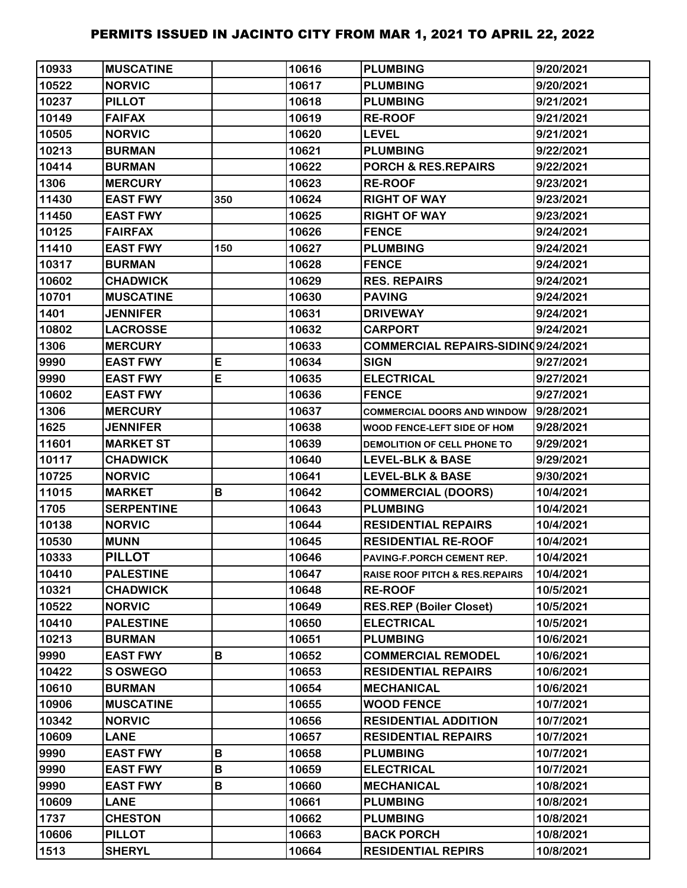| 10933 | <b>MUSCATINE</b>  |     | 10616 | <b>PLUMBING</b>                           | 9/20/2021 |
|-------|-------------------|-----|-------|-------------------------------------------|-----------|
| 10522 | <b>NORVIC</b>     |     | 10617 | <b>PLUMBING</b>                           | 9/20/2021 |
| 10237 | <b>PILLOT</b>     |     | 10618 | <b>PLUMBING</b>                           | 9/21/2021 |
| 10149 | <b>FAIFAX</b>     |     | 10619 | <b>RE-ROOF</b>                            | 9/21/2021 |
| 10505 | <b>NORVIC</b>     |     | 10620 | <b>LEVEL</b>                              | 9/21/2021 |
| 10213 | <b>BURMAN</b>     |     | 10621 | <b>PLUMBING</b>                           | 9/22/2021 |
| 10414 | <b>BURMAN</b>     |     | 10622 | <b>PORCH &amp; RES.REPAIRS</b>            | 9/22/2021 |
| 1306  | <b>MERCURY</b>    |     | 10623 | <b>RE-ROOF</b>                            | 9/23/2021 |
| 11430 | <b>EAST FWY</b>   | 350 | 10624 | <b>RIGHT OF WAY</b>                       | 9/23/2021 |
| 11450 | <b>EAST FWY</b>   |     | 10625 | <b>RIGHT OF WAY</b>                       | 9/23/2021 |
| 10125 | <b>FAIRFAX</b>    |     | 10626 | <b>FENCE</b>                              | 9/24/2021 |
| 11410 | <b>EAST FWY</b>   | 150 | 10627 | <b>PLUMBING</b>                           | 9/24/2021 |
| 10317 | <b>BURMAN</b>     |     | 10628 | <b>FENCE</b>                              | 9/24/2021 |
| 10602 | <b>CHADWICK</b>   |     | 10629 | <b>RES. REPAIRS</b>                       | 9/24/2021 |
| 10701 | <b>MUSCATINE</b>  |     | 10630 | <b>PAVING</b>                             | 9/24/2021 |
| 1401  | <b>JENNIFER</b>   |     | 10631 | <b>DRIVEWAY</b>                           | 9/24/2021 |
| 10802 | <b>LACROSSE</b>   |     | 10632 | <b>CARPORT</b>                            | 9/24/2021 |
| 1306  | <b>MERCURY</b>    |     | 10633 | COMMERCIAL REPAIRS-SIDIN09/24/2021        |           |
| 9990  | <b>EAST FWY</b>   | E   | 10634 | <b>SIGN</b>                               | 9/27/2021 |
| 9990  | <b>EAST FWY</b>   | E   | 10635 | <b>ELECTRICAL</b>                         | 9/27/2021 |
| 10602 | <b>EAST FWY</b>   |     | 10636 | <b>FENCE</b>                              | 9/27/2021 |
| 1306  | <b>MERCURY</b>    |     | 10637 | <b>COMMERCIAL DOORS AND WINDOW</b>        | 9/28/2021 |
| 1625  | <b>JENNIFER</b>   |     | 10638 | WOOD FENCE-LEFT SIDE OF HOM               | 9/28/2021 |
| 11601 | <b>MARKET ST</b>  |     | 10639 | DEMOLITION OF CELL PHONE TO               | 9/29/2021 |
| 10117 | <b>CHADWICK</b>   |     | 10640 | <b>LEVEL-BLK &amp; BASE</b>               | 9/29/2021 |
| 10725 | <b>NORVIC</b>     |     | 10641 | <b>LEVEL-BLK &amp; BASE</b>               | 9/30/2021 |
| 11015 | <b>MARKET</b>     | B   | 10642 | <b>COMMERCIAL (DOORS)</b>                 | 10/4/2021 |
| 1705  | <b>SERPENTINE</b> |     | 10643 | <b>PLUMBING</b>                           | 10/4/2021 |
| 10138 | <b>NORVIC</b>     |     | 10644 | <b>RESIDENTIAL REPAIRS</b>                | 10/4/2021 |
| 10530 | <b>MUNN</b>       |     | 10645 | <b>RESIDENTIAL RE-ROOF</b>                | 10/4/2021 |
| 10333 | <b>PILLOT</b>     |     | 10646 | PAVING-F.PORCH CEMENT REP.                | 10/4/2021 |
| 10410 | <b>PALESTINE</b>  |     | 10647 | <b>RAISE ROOF PITCH &amp; RES.REPAIRS</b> | 10/4/2021 |
| 10321 | <b>CHADWICK</b>   |     | 10648 | <b>RE-ROOF</b>                            | 10/5/2021 |
| 10522 | <b>NORVIC</b>     |     | 10649 | <b>RES.REP (Boiler Closet)</b>            | 10/5/2021 |
| 10410 | <b>PALESTINE</b>  |     | 10650 | <b>ELECTRICAL</b>                         | 10/5/2021 |
| 10213 | <b>BURMAN</b>     |     | 10651 | <b>PLUMBING</b>                           | 10/6/2021 |
| 9990  | <b>EAST FWY</b>   | B   | 10652 | <b>COMMERCIAL REMODEL</b>                 | 10/6/2021 |
| 10422 | <b>SOSWEGO</b>    |     | 10653 | <b>RESIDENTIAL REPAIRS</b>                | 10/6/2021 |
| 10610 | <b>BURMAN</b>     |     | 10654 | <b>MECHANICAL</b>                         | 10/6/2021 |
| 10906 | <b>MUSCATINE</b>  |     | 10655 | <b>WOOD FENCE</b>                         | 10/7/2021 |
| 10342 | <b>NORVIC</b>     |     | 10656 | <b>RESIDENTIAL ADDITION</b>               | 10/7/2021 |
| 10609 | <b>LANE</b>       |     | 10657 | <b>RESIDENTIAL REPAIRS</b>                | 10/7/2021 |
| 9990  | <b>EAST FWY</b>   | B   | 10658 | <b>PLUMBING</b>                           | 10/7/2021 |
| 9990  | <b>EAST FWY</b>   | B   | 10659 | <b>ELECTRICAL</b>                         | 10/7/2021 |
| 9990  | <b>EAST FWY</b>   | В   | 10660 | <b>MECHANICAL</b>                         | 10/8/2021 |
| 10609 | <b>LANE</b>       |     | 10661 | <b>PLUMBING</b>                           | 10/8/2021 |
| 1737  | <b>CHESTON</b>    |     | 10662 | <b>PLUMBING</b>                           | 10/8/2021 |
| 10606 | <b>PILLOT</b>     |     | 10663 | <b>BACK PORCH</b>                         | 10/8/2021 |
| 1513  | <b>SHERYL</b>     |     | 10664 | <b>RESIDENTIAL REPIRS</b>                 | 10/8/2021 |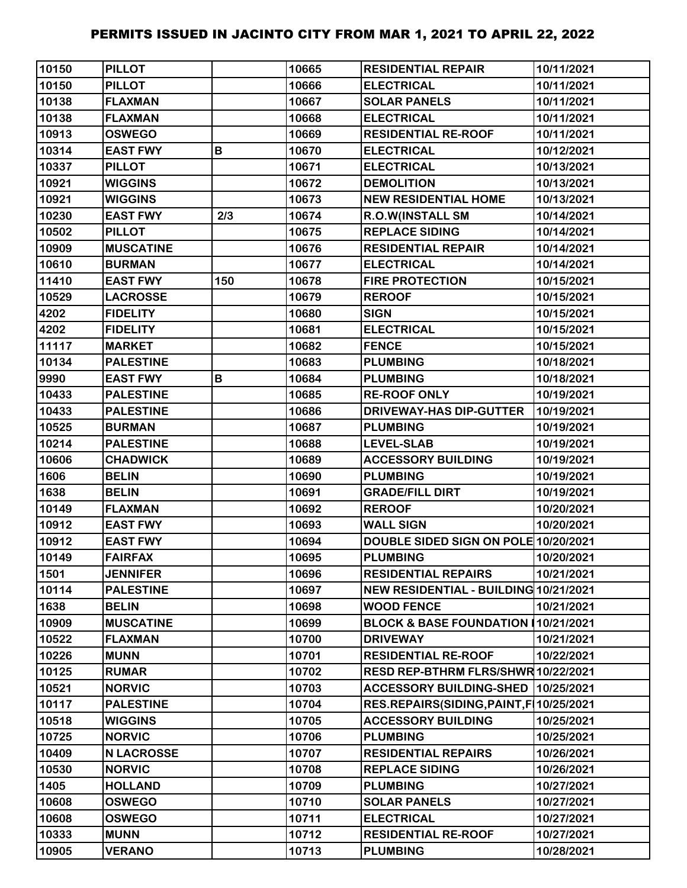| 10150 | <b>PILLOT</b>     |     | 10665 | <b>RESIDENTIAL REPAIR</b>               | 10/11/2021 |
|-------|-------------------|-----|-------|-----------------------------------------|------------|
| 10150 | <b>PILLOT</b>     |     | 10666 | <b>ELECTRICAL</b>                       | 10/11/2021 |
| 10138 | <b>FLAXMAN</b>    |     | 10667 | <b>SOLAR PANELS</b>                     | 10/11/2021 |
| 10138 | <b>FLAXMAN</b>    |     | 10668 | <b>ELECTRICAL</b>                       | 10/11/2021 |
| 10913 | <b>OSWEGO</b>     |     | 10669 | <b>RESIDENTIAL RE-ROOF</b>              | 10/11/2021 |
| 10314 | <b>EAST FWY</b>   | B   | 10670 | <b>ELECTRICAL</b>                       | 10/12/2021 |
| 10337 | <b>PILLOT</b>     |     | 10671 | <b>ELECTRICAL</b>                       | 10/13/2021 |
| 10921 | <b>WIGGINS</b>    |     | 10672 | <b>DEMOLITION</b>                       | 10/13/2021 |
| 10921 | <b>WIGGINS</b>    |     | 10673 | <b>NEW RESIDENTIAL HOME</b>             | 10/13/2021 |
| 10230 | <b>EAST FWY</b>   | 2/3 | 10674 | <b>R.O.W(INSTALL SM</b>                 | 10/14/2021 |
| 10502 | <b>PILLOT</b>     |     | 10675 | <b>REPLACE SIDING</b>                   | 10/14/2021 |
| 10909 | <b>MUSCATINE</b>  |     | 10676 | <b>RESIDENTIAL REPAIR</b>               | 10/14/2021 |
| 10610 | <b>BURMAN</b>     |     | 10677 | <b>ELECTRICAL</b>                       | 10/14/2021 |
| 11410 | <b>EAST FWY</b>   | 150 | 10678 | <b>FIRE PROTECTION</b>                  | 10/15/2021 |
| 10529 | <b>LACROSSE</b>   |     | 10679 | <b>REROOF</b>                           | 10/15/2021 |
| 4202  | <b>FIDELITY</b>   |     | 10680 | <b>SIGN</b>                             | 10/15/2021 |
| 4202  | <b>FIDELITY</b>   |     | 10681 | <b>ELECTRICAL</b>                       | 10/15/2021 |
| 11117 | <b>MARKET</b>     |     | 10682 | <b>FENCE</b>                            | 10/15/2021 |
| 10134 | <b>PALESTINE</b>  |     | 10683 | <b>PLUMBING</b>                         | 10/18/2021 |
| 9990  | <b>EAST FWY</b>   | В   | 10684 | <b>PLUMBING</b>                         | 10/18/2021 |
| 10433 | <b>PALESTINE</b>  |     | 10685 | <b>RE-ROOF ONLY</b>                     | 10/19/2021 |
| 10433 | <b>PALESTINE</b>  |     | 10686 | DRIVEWAY-HAS DIP-GUTTER                 | 10/19/2021 |
| 10525 | <b>BURMAN</b>     |     | 10687 | <b>PLUMBING</b>                         | 10/19/2021 |
| 10214 | <b>PALESTINE</b>  |     | 10688 | <b>LEVEL-SLAB</b>                       | 10/19/2021 |
| 10606 | <b>CHADWICK</b>   |     | 10689 | <b>ACCESSORY BUILDING</b>               | 10/19/2021 |
| 1606  | <b>BELIN</b>      |     | 10690 | <b>PLUMBING</b>                         | 10/19/2021 |
| 1638  | <b>BELIN</b>      |     | 10691 | <b>GRADE/FILL DIRT</b>                  | 10/19/2021 |
| 10149 | <b>FLAXMAN</b>    |     | 10692 | <b>REROOF</b>                           | 10/20/2021 |
| 10912 | <b>EAST FWY</b>   |     | 10693 | <b>WALL SIGN</b>                        | 10/20/2021 |
| 10912 | <b>EAST FWY</b>   |     | 10694 | DOUBLE SIDED SIGN ON POLE 10/20/2021    |            |
| 10149 | <b>FAIRFAX</b>    |     | 10695 | <b>PLUMBING</b>                         | 10/20/2021 |
| 1501  | <b>JENNIFER</b>   |     | 10696 | <b>RESIDENTIAL REPAIRS</b>              | 10/21/2021 |
| 10114 | <b>PALESTINE</b>  |     | 10697 | NEW RESIDENTIAL - BUILDING 10/21/2021   |            |
| 1638  | <b>BELIN</b>      |     | 10698 | <b>WOOD FENCE</b>                       | 10/21/2021 |
| 10909 | <b>MUSCATINE</b>  |     | 10699 | <b>BLOCK &amp; BASE FOUNDATION I</b>    | 10/21/2021 |
| 10522 | <b>FLAXMAN</b>    |     | 10700 | <b>DRIVEWAY</b>                         | 10/21/2021 |
| 10226 | <b>MUNN</b>       |     | 10701 | <b>RESIDENTIAL RE-ROOF</b>              | 10/22/2021 |
| 10125 | <b>RUMAR</b>      |     | 10702 | RESD REP-BTHRM FLRS/SHWR 10/22/2021     |            |
| 10521 | <b>NORVIC</b>     |     | 10703 | <b>ACCESSORY BUILDING-SHED</b>          | 10/25/2021 |
| 10117 | <b>PALESTINE</b>  |     | 10704 | RES.REPAIRS(SIDING, PAINT, F 10/25/2021 |            |
| 10518 | <b>WIGGINS</b>    |     | 10705 | <b>ACCESSORY BUILDING</b>               | 10/25/2021 |
| 10725 | <b>NORVIC</b>     |     | 10706 | <b>PLUMBING</b>                         | 10/25/2021 |
| 10409 | <b>N LACROSSE</b> |     | 10707 | <b>RESIDENTIAL REPAIRS</b>              | 10/26/2021 |
| 10530 | <b>NORVIC</b>     |     | 10708 | <b>REPLACE SIDING</b>                   | 10/26/2021 |
| 1405  | <b>HOLLAND</b>    |     | 10709 | <b>PLUMBING</b>                         | 10/27/2021 |
| 10608 | <b>OSWEGO</b>     |     | 10710 | <b>SOLAR PANELS</b>                     | 10/27/2021 |
| 10608 | <b>OSWEGO</b>     |     | 10711 | <b>ELECTRICAL</b>                       | 10/27/2021 |
| 10333 | <b>MUNN</b>       |     | 10712 | <b>RESIDENTIAL RE-ROOF</b>              | 10/27/2021 |
| 10905 | <b>VERANO</b>     |     | 10713 | <b>PLUMBING</b>                         | 10/28/2021 |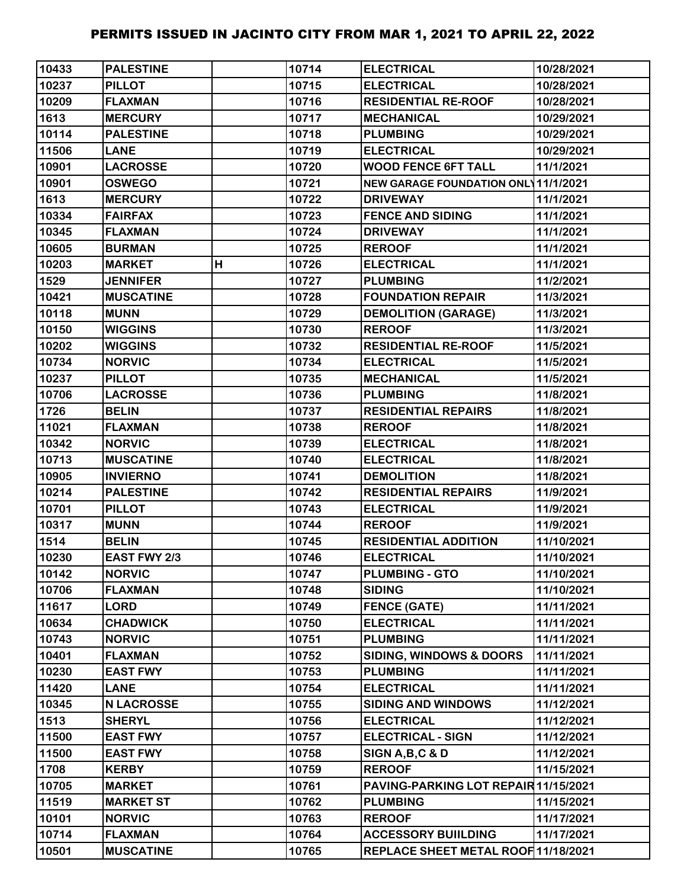| 10433 | <b>PALESTINE</b>    |   | 10714 | <b>ELECTRICAL</b>                          | 10/28/2021 |
|-------|---------------------|---|-------|--------------------------------------------|------------|
| 10237 | <b>PILLOT</b>       |   | 10715 | <b>ELECTRICAL</b>                          | 10/28/2021 |
| 10209 | <b>FLAXMAN</b>      |   | 10716 | <b>RESIDENTIAL RE-ROOF</b>                 | 10/28/2021 |
| 1613  | <b>MERCURY</b>      |   | 10717 | <b>MECHANICAL</b>                          | 10/29/2021 |
| 10114 | <b>PALESTINE</b>    |   | 10718 | <b>PLUMBING</b>                            | 10/29/2021 |
| 11506 | <b>LANE</b>         |   | 10719 | <b>ELECTRICAL</b>                          | 10/29/2021 |
| 10901 | <b>LACROSSE</b>     |   | 10720 | <b>WOOD FENCE 6FT TALL</b>                 | 11/1/2021  |
| 10901 | <b>OSWEGO</b>       |   | 10721 | <b>NEW GARAGE FOUNDATION ONL 11/1/2021</b> |            |
| 1613  | <b>MERCURY</b>      |   | 10722 | <b>DRIVEWAY</b>                            | 11/1/2021  |
| 10334 | <b>FAIRFAX</b>      |   | 10723 | <b>FENCE AND SIDING</b>                    | 11/1/2021  |
| 10345 | <b>FLAXMAN</b>      |   | 10724 | <b>DRIVEWAY</b>                            | 11/1/2021  |
| 10605 | <b>BURMAN</b>       |   | 10725 | <b>REROOF</b>                              | 11/1/2021  |
| 10203 | <b>MARKET</b>       | H | 10726 | <b>ELECTRICAL</b>                          | 11/1/2021  |
| 1529  | <b>JENNIFER</b>     |   | 10727 | <b>PLUMBING</b>                            | 11/2/2021  |
| 10421 | <b>MUSCATINE</b>    |   | 10728 | <b>FOUNDATION REPAIR</b>                   | 11/3/2021  |
| 10118 | <b>MUNN</b>         |   | 10729 | <b>DEMOLITION (GARAGE)</b>                 | 11/3/2021  |
| 10150 | <b>WIGGINS</b>      |   | 10730 | <b>REROOF</b>                              | 11/3/2021  |
| 10202 | <b>WIGGINS</b>      |   | 10732 | <b>RESIDENTIAL RE-ROOF</b>                 | 11/5/2021  |
| 10734 | <b>NORVIC</b>       |   | 10734 | <b>ELECTRICAL</b>                          | 11/5/2021  |
| 10237 | <b>PILLOT</b>       |   | 10735 | <b>MECHANICAL</b>                          | 11/5/2021  |
| 10706 | <b>LACROSSE</b>     |   | 10736 | <b>PLUMBING</b>                            | 11/8/2021  |
| 1726  | <b>BELIN</b>        |   | 10737 | <b>RESIDENTIAL REPAIRS</b>                 | 11/8/2021  |
| 11021 | <b>FLAXMAN</b>      |   | 10738 | <b>REROOF</b>                              | 11/8/2021  |
| 10342 | <b>NORVIC</b>       |   | 10739 | <b>ELECTRICAL</b>                          | 11/8/2021  |
| 10713 | <b>MUSCATINE</b>    |   | 10740 | <b>ELECTRICAL</b>                          | 11/8/2021  |
| 10905 | <b>INVIERNO</b>     |   | 10741 | <b>DEMOLITION</b>                          | 11/8/2021  |
| 10214 | <b>PALESTINE</b>    |   | 10742 | <b>RESIDENTIAL REPAIRS</b>                 | 11/9/2021  |
| 10701 | <b>PILLOT</b>       |   | 10743 | <b>ELECTRICAL</b>                          | 11/9/2021  |
| 10317 | <b>MUNN</b>         |   | 10744 | <b>REROOF</b>                              | 11/9/2021  |
| 1514  | <b>BELIN</b>        |   | 10745 | <b>RESIDENTIAL ADDITION</b>                | 11/10/2021 |
| 10230 | <b>EAST FWY 2/3</b> |   | 10746 | <b>ELECTRICAL</b>                          | 11/10/2021 |
| 10142 | <b>NORVIC</b>       |   | 10747 | <b>PLUMBING - GTO</b>                      | 11/10/2021 |
| 10706 | <b>FLAXMAN</b>      |   | 10748 | <b>SIDING</b>                              | 11/10/2021 |
| 11617 | <b>LORD</b>         |   | 10749 | <b>FENCE (GATE)</b>                        | 11/11/2021 |
| 10634 | <b>CHADWICK</b>     |   | 10750 | <b>ELECTRICAL</b>                          | 11/11/2021 |
| 10743 | <b>NORVIC</b>       |   | 10751 | <b>PLUMBING</b>                            | 11/11/2021 |
| 10401 | <b>FLAXMAN</b>      |   | 10752 | <b>SIDING, WINDOWS &amp; DOORS</b>         | 11/11/2021 |
| 10230 | <b>EAST FWY</b>     |   | 10753 | <b>PLUMBING</b>                            | 11/11/2021 |
| 11420 | <b>LANE</b>         |   | 10754 | <b>ELECTRICAL</b>                          | 11/11/2021 |
| 10345 | <b>N LACROSSE</b>   |   | 10755 | <b>SIDING AND WINDOWS</b>                  | 11/12/2021 |
| 1513  | <b>SHERYL</b>       |   | 10756 | <b>ELECTRICAL</b>                          | 11/12/2021 |
| 11500 | <b>EAST FWY</b>     |   | 10757 | <b>ELECTRICAL - SIGN</b>                   | 11/12/2021 |
| 11500 | <b>EAST FWY</b>     |   | 10758 | SIGN A, B, C & D                           | 11/12/2021 |
| 1708  | <b>KERBY</b>        |   | 10759 | <b>REROOF</b>                              | 11/15/2021 |
| 10705 | <b>MARKET</b>       |   | 10761 | PAVING-PARKING LOT REPAIR 11/15/2021       |            |
| 11519 | <b>MARKET ST</b>    |   | 10762 | <b>PLUMBING</b>                            | 11/15/2021 |
| 10101 | <b>NORVIC</b>       |   | 10763 | <b>REROOF</b>                              | 11/17/2021 |
| 10714 | <b>FLAXMAN</b>      |   | 10764 | <b>ACCESSORY BUIILDING</b>                 | 11/17/2021 |
| 10501 | <b>MUSCATINE</b>    |   | 10765 | REPLACE SHEET METAL ROOF 11/18/2021        |            |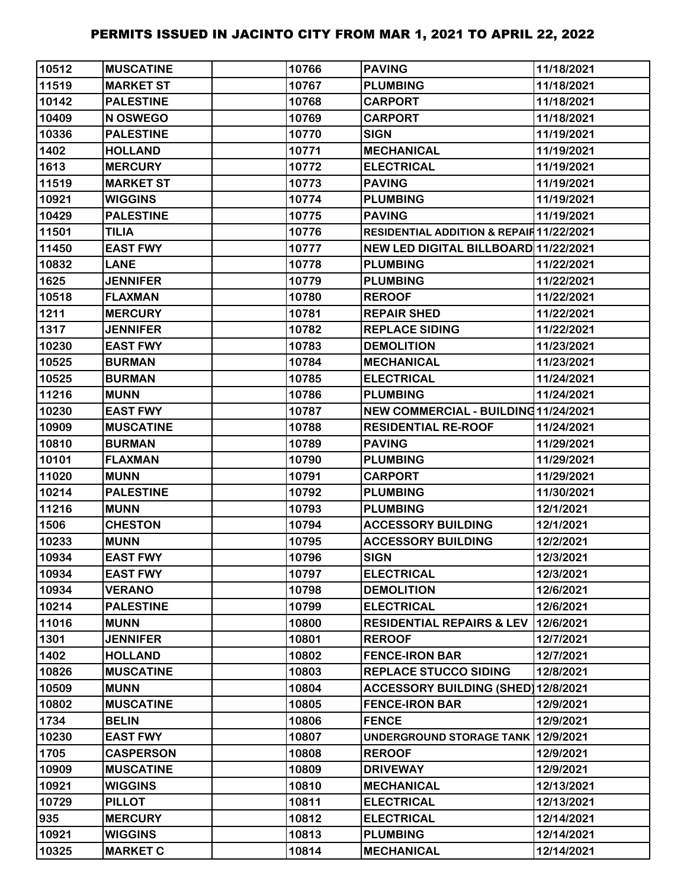| 10512 | <b>MUSCATINE</b> | 10766 | <b>PAVING</b>                            | 11/18/2021 |
|-------|------------------|-------|------------------------------------------|------------|
| 11519 | <b>MARKET ST</b> | 10767 | <b>PLUMBING</b>                          | 11/18/2021 |
| 10142 | <b>PALESTINE</b> | 10768 | <b>CARPORT</b>                           | 11/18/2021 |
| 10409 | N OSWEGO         | 10769 | <b>CARPORT</b>                           | 11/18/2021 |
| 10336 | <b>PALESTINE</b> | 10770 | <b>SIGN</b>                              | 11/19/2021 |
| 1402  | <b>HOLLAND</b>   | 10771 | <b>MECHANICAL</b>                        | 11/19/2021 |
| 1613  | <b>MERCURY</b>   | 10772 | <b>ELECTRICAL</b>                        | 11/19/2021 |
| 11519 | <b>MARKET ST</b> | 10773 | <b>PAVING</b>                            | 11/19/2021 |
| 10921 | <b>WIGGINS</b>   | 10774 | <b>PLUMBING</b>                          | 11/19/2021 |
| 10429 | <b>PALESTINE</b> | 10775 | <b>PAVING</b>                            | 11/19/2021 |
| 11501 | <b>TILIA</b>     | 10776 | RESIDENTIAL ADDITION & REPAIR 11/22/2021 |            |
| 11450 | <b>EAST FWY</b>  | 10777 | NEW LED DIGITAL BILLBOARD 11/22/2021     |            |
| 10832 | <b>LANE</b>      | 10778 | <b>PLUMBING</b>                          | 11/22/2021 |
| 1625  | <b>JENNIFER</b>  | 10779 | <b>PLUMBING</b>                          | 11/22/2021 |
| 10518 | <b>FLAXMAN</b>   | 10780 | <b>REROOF</b>                            | 11/22/2021 |
| 1211  | <b>MERCURY</b>   | 10781 | <b>REPAIR SHED</b>                       | 11/22/2021 |
| 1317  | <b>JENNIFER</b>  | 10782 | <b>REPLACE SIDING</b>                    | 11/22/2021 |
| 10230 | <b>EAST FWY</b>  | 10783 | <b>DEMOLITION</b>                        | 11/23/2021 |
| 10525 | <b>BURMAN</b>    | 10784 | <b>MECHANICAL</b>                        | 11/23/2021 |
| 10525 | <b>BURMAN</b>    | 10785 | <b>ELECTRICAL</b>                        | 11/24/2021 |
| 11216 | <b>MUNN</b>      | 10786 | <b>PLUMBING</b>                          | 11/24/2021 |
| 10230 | <b>EAST FWY</b>  | 10787 | NEW COMMERCIAL - BUILDING11/24/2021      |            |
| 10909 | <b>MUSCATINE</b> | 10788 | <b>RESIDENTIAL RE-ROOF</b>               | 11/24/2021 |
| 10810 | <b>BURMAN</b>    | 10789 | <b>PAVING</b>                            | 11/29/2021 |
| 10101 | <b>FLAXMAN</b>   | 10790 | <b>PLUMBING</b>                          | 11/29/2021 |
| 11020 | <b>MUNN</b>      | 10791 | <b>CARPORT</b>                           | 11/29/2021 |
| 10214 | <b>PALESTINE</b> | 10792 | <b>PLUMBING</b>                          | 11/30/2021 |
| 11216 | <b>MUNN</b>      | 10793 | <b>PLUMBING</b>                          | 12/1/2021  |
| 1506  | <b>CHESTON</b>   | 10794 | <b>ACCESSORY BUILDING</b>                | 12/1/2021  |
| 10233 | <b>MUNN</b>      | 10795 | <b>ACCESSORY BUILDING</b>                | 12/2/2021  |
| 10934 | <b>EAST FWY</b>  | 10796 | <b>SIGN</b>                              | 12/3/2021  |
| 10934 | <b>EAST FWY</b>  | 10797 | <b>ELECTRICAL</b>                        | 12/3/2021  |
| 10934 | <b>VERANO</b>    | 10798 | <b>DEMOLITION</b>                        | 12/6/2021  |
| 10214 | <b>PALESTINE</b> | 10799 | <b>ELECTRICAL</b>                        | 12/6/2021  |
| 11016 | <b>MUNN</b>      | 10800 | <b>RESIDENTIAL REPAIRS &amp; LEV</b>     | 12/6/2021  |
| 1301  | <b>JENNIFER</b>  | 10801 | <b>REROOF</b>                            | 12/7/2021  |
| 1402  | <b>HOLLAND</b>   | 10802 | <b>FENCE-IRON BAR</b>                    | 12/7/2021  |
| 10826 | <b>MUSCATINE</b> | 10803 | <b>REPLACE STUCCO SIDING</b>             | 12/8/2021  |
| 10509 | <b>MUNN</b>      | 10804 | ACCESSORY BUILDING (SHED) 12/8/2021      |            |
| 10802 | <b>MUSCATINE</b> | 10805 | <b>FENCE-IRON BAR</b>                    | 12/9/2021  |
| 1734  | <b>BELIN</b>     | 10806 | <b>FENCE</b>                             | 12/9/2021  |
| 10230 | <b>EAST FWY</b>  | 10807 | UNDERGROUND STORAGE TANK 12/9/2021       |            |
| 1705  | <b>CASPERSON</b> | 10808 | <b>REROOF</b>                            | 12/9/2021  |
| 10909 | <b>MUSCATINE</b> | 10809 | <b>DRIVEWAY</b>                          | 12/9/2021  |
| 10921 | <b>WIGGINS</b>   | 10810 | <b>MECHANICAL</b>                        | 12/13/2021 |
| 10729 | <b>PILLOT</b>    | 10811 | <b>ELECTRICAL</b>                        | 12/13/2021 |
| 935   | <b>MERCURY</b>   | 10812 | <b>ELECTRICAL</b>                        | 12/14/2021 |
| 10921 | <b>WIGGINS</b>   | 10813 | <b>PLUMBING</b>                          | 12/14/2021 |
| 10325 | <b>MARKET C</b>  | 10814 | <b>MECHANICAL</b>                        | 12/14/2021 |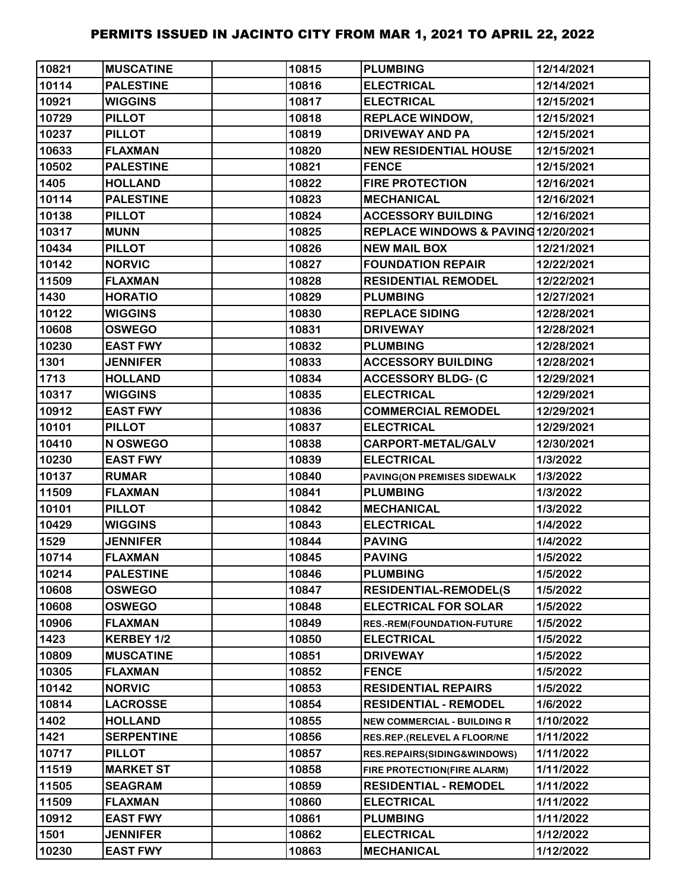| 10821 | <b>MUSCATINE</b>  | 10815 | <b>PLUMBING</b>                    | 12/14/2021 |
|-------|-------------------|-------|------------------------------------|------------|
| 10114 | <b>PALESTINE</b>  | 10816 | <b>ELECTRICAL</b>                  | 12/14/2021 |
| 10921 | <b>WIGGINS</b>    | 10817 | <b>ELECTRICAL</b>                  | 12/15/2021 |
| 10729 | <b>PILLOT</b>     | 10818 | <b>REPLACE WINDOW,</b>             | 12/15/2021 |
| 10237 | <b>PILLOT</b>     | 10819 | <b>DRIVEWAY AND PA</b>             | 12/15/2021 |
| 10633 | <b>FLAXMAN</b>    | 10820 | <b>NEW RESIDENTIAL HOUSE</b>       | 12/15/2021 |
| 10502 | <b>PALESTINE</b>  | 10821 | <b>FENCE</b>                       | 12/15/2021 |
| 1405  | <b>HOLLAND</b>    | 10822 | <b>FIRE PROTECTION</b>             | 12/16/2021 |
| 10114 | <b>PALESTINE</b>  | 10823 | <b>MECHANICAL</b>                  | 12/16/2021 |
| 10138 | <b>PILLOT</b>     | 10824 | <b>ACCESSORY BUILDING</b>          | 12/16/2021 |
| 10317 | <b>MUNN</b>       | 10825 | REPLACE WINDOWS & PAVING12/20/2021 |            |
| 10434 | <b>PILLOT</b>     | 10826 | <b>NEW MAIL BOX</b>                | 12/21/2021 |
| 10142 | <b>NORVIC</b>     | 10827 | <b>FOUNDATION REPAIR</b>           | 12/22/2021 |
| 11509 | <b>FLAXMAN</b>    | 10828 | <b>RESIDENTIAL REMODEL</b>         | 12/22/2021 |
| 1430  | <b>HORATIO</b>    | 10829 | <b>PLUMBING</b>                    | 12/27/2021 |
| 10122 | <b>WIGGINS</b>    | 10830 | <b>REPLACE SIDING</b>              | 12/28/2021 |
| 10608 | <b>OSWEGO</b>     | 10831 | <b>DRIVEWAY</b>                    | 12/28/2021 |
| 10230 | <b>EAST FWY</b>   | 10832 | <b>PLUMBING</b>                    | 12/28/2021 |
| 1301  | <b>JENNIFER</b>   | 10833 | <b>ACCESSORY BUILDING</b>          | 12/28/2021 |
| 1713  | <b>HOLLAND</b>    | 10834 | <b>ACCESSORY BLDG- (C</b>          | 12/29/2021 |
| 10317 | <b>WIGGINS</b>    | 10835 | <b>ELECTRICAL</b>                  | 12/29/2021 |
| 10912 | <b>EAST FWY</b>   | 10836 | <b>COMMERCIAL REMODEL</b>          | 12/29/2021 |
| 10101 | <b>PILLOT</b>     | 10837 | <b>ELECTRICAL</b>                  | 12/29/2021 |
| 10410 | N OSWEGO          | 10838 | CARPORT-METAL/GALV                 | 12/30/2021 |
| 10230 | <b>EAST FWY</b>   | 10839 | <b>ELECTRICAL</b>                  | 1/3/2022   |
| 10137 | <b>RUMAR</b>      | 10840 | PAVING(ON PREMISES SIDEWALK        | 1/3/2022   |
| 11509 | <b>FLAXMAN</b>    | 10841 | <b>PLUMBING</b>                    | 1/3/2022   |
| 10101 | <b>PILLOT</b>     | 10842 | <b>MECHANICAL</b>                  | 1/3/2022   |
| 10429 | <b>WIGGINS</b>    | 10843 | <b>ELECTRICAL</b>                  | 1/4/2022   |
| 1529  | <b>JENNIFER</b>   | 10844 | <b>PAVING</b>                      | 1/4/2022   |
| 10714 | <b>FLAXMAN</b>    | 10845 | <b>PAVING</b>                      | 1/5/2022   |
| 10214 | <b>PALESTINE</b>  | 10846 | <b>PLUMBING</b>                    | 1/5/2022   |
| 10608 | <b>OSWEGO</b>     | 10847 | <b>RESIDENTIAL-REMODEL(S</b>       | 1/5/2022   |
| 10608 | <b>OSWEGO</b>     | 10848 | <b>ELECTRICAL FOR SOLAR</b>        | 1/5/2022   |
| 10906 | <b>FLAXMAN</b>    | 10849 | <b>RES.-REM(FOUNDATION-FUTURE</b>  | 1/5/2022   |
| 1423  | KERBEY 1/2        | 10850 | <b>ELECTRICAL</b>                  | 1/5/2022   |
| 10809 | <b>MUSCATINE</b>  | 10851 | <b>DRIVEWAY</b>                    | 1/5/2022   |
| 10305 | <b>FLAXMAN</b>    | 10852 | <b>FENCE</b>                       | 1/5/2022   |
| 10142 | <b>NORVIC</b>     | 10853 | <b>RESIDENTIAL REPAIRS</b>         | 1/5/2022   |
| 10814 | <b>LACROSSE</b>   | 10854 | <b>RESIDENTIAL - REMODEL</b>       | 1/6/2022   |
| 1402  | <b>HOLLAND</b>    | 10855 | <b>NEW COMMERCIAL - BUILDING R</b> | 1/10/2022  |
| 1421  | <b>SERPENTINE</b> | 10856 | RES.REP.(RELEVEL A FLOOR/NE        | 1/11/2022  |
| 10717 | <b>PILLOT</b>     | 10857 | RES.REPAIRS(SIDING&WINDOWS)        | 1/11/2022  |
| 11519 | <b>MARKET ST</b>  | 10858 | FIRE PROTECTION(FIRE ALARM)        | 1/11/2022  |
| 11505 | <b>SEAGRAM</b>    | 10859 | <b>RESIDENTIAL - REMODEL</b>       | 1/11/2022  |
| 11509 | <b>FLAXMAN</b>    | 10860 | <b>ELECTRICAL</b>                  | 1/11/2022  |
| 10912 | <b>EAST FWY</b>   | 10861 | <b>PLUMBING</b>                    | 1/11/2022  |
| 1501  | <b>JENNIFER</b>   | 10862 | <b>ELECTRICAL</b>                  | 1/12/2022  |
| 10230 | <b>EAST FWY</b>   | 10863 | <b>MECHANICAL</b>                  | 1/12/2022  |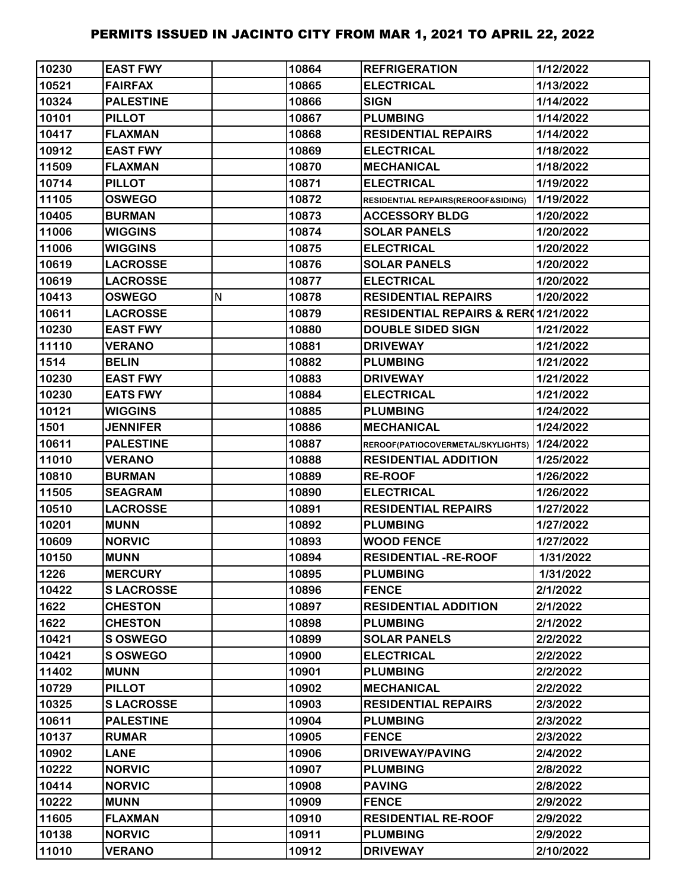| 10230 | <b>EAST FWY</b>  |   | 10864 | <b>REFRIGERATION</b>                           | 1/12/2022 |
|-------|------------------|---|-------|------------------------------------------------|-----------|
| 10521 | <b>FAIRFAX</b>   |   | 10865 | <b>ELECTRICAL</b>                              | 1/13/2022 |
| 10324 | <b>PALESTINE</b> |   | 10866 | <b>SIGN</b>                                    | 1/14/2022 |
| 10101 | <b>PILLOT</b>    |   | 10867 | <b>PLUMBING</b>                                | 1/14/2022 |
| 10417 | <b>FLAXMAN</b>   |   | 10868 | <b>RESIDENTIAL REPAIRS</b>                     | 1/14/2022 |
| 10912 | <b>EAST FWY</b>  |   | 10869 | <b>ELECTRICAL</b>                              | 1/18/2022 |
| 11509 | <b>FLAXMAN</b>   |   | 10870 | <b>MECHANICAL</b>                              | 1/18/2022 |
| 10714 | <b>PILLOT</b>    |   | 10871 | <b>ELECTRICAL</b>                              | 1/19/2022 |
| 11105 | <b>OSWEGO</b>    |   | 10872 | RESIDENTIAL REPAIRS(REROOF&SIDING)             | 1/19/2022 |
| 10405 | <b>BURMAN</b>    |   | 10873 | <b>ACCESSORY BLDG</b>                          | 1/20/2022 |
| 11006 | <b>WIGGINS</b>   |   | 10874 | <b>SOLAR PANELS</b>                            | 1/20/2022 |
| 11006 | <b>WIGGINS</b>   |   | 10875 | <b>ELECTRICAL</b>                              | 1/20/2022 |
| 10619 | <b>LACROSSE</b>  |   | 10876 | <b>SOLAR PANELS</b>                            | 1/20/2022 |
| 10619 | <b>LACROSSE</b>  |   | 10877 | <b>ELECTRICAL</b>                              | 1/20/2022 |
| 10413 | <b>OSWEGO</b>    | N | 10878 | <b>RESIDENTIAL REPAIRS</b>                     | 1/20/2022 |
| 10611 | <b>LACROSSE</b>  |   | 10879 | <b>RESIDENTIAL REPAIRS &amp; RER01/21/2022</b> |           |
| 10230 | <b>EAST FWY</b>  |   | 10880 | <b>DOUBLE SIDED SIGN</b>                       | 1/21/2022 |
| 11110 | <b>VERANO</b>    |   | 10881 | <b>DRIVEWAY</b>                                | 1/21/2022 |
| 1514  | <b>BELIN</b>     |   | 10882 | <b>PLUMBING</b>                                | 1/21/2022 |
| 10230 | <b>EAST FWY</b>  |   | 10883 | <b>DRIVEWAY</b>                                | 1/21/2022 |
| 10230 | <b>EATS FWY</b>  |   | 10884 | <b>ELECTRICAL</b>                              | 1/21/2022 |
| 10121 | <b>WIGGINS</b>   |   | 10885 | <b>PLUMBING</b>                                | 1/24/2022 |
| 1501  | <b>JENNIFER</b>  |   | 10886 | <b>MECHANICAL</b>                              | 1/24/2022 |
| 10611 | <b>PALESTINE</b> |   | 10887 | REROOF(PATIOCOVERMETAL/SKYLIGHTS)              | 1/24/2022 |
| 11010 | <b>VERANO</b>    |   | 10888 | <b>RESIDENTIAL ADDITION</b>                    | 1/25/2022 |
| 10810 | <b>BURMAN</b>    |   | 10889 | <b>RE-ROOF</b>                                 | 1/26/2022 |
| 11505 | <b>SEAGRAM</b>   |   | 10890 | <b>ELECTRICAL</b>                              | 1/26/2022 |
| 10510 | <b>LACROSSE</b>  |   | 10891 | <b>RESIDENTIAL REPAIRS</b>                     | 1/27/2022 |
| 10201 | <b>MUNN</b>      |   | 10892 | <b>PLUMBING</b>                                | 1/27/2022 |
| 10609 | <b>NORVIC</b>    |   | 10893 | <b>WOOD FENCE</b>                              | 1/27/2022 |
| 10150 | <b>MUNN</b>      |   | 10894 | <b>RESIDENTIAL -RE-ROOF</b>                    | 1/31/2022 |
| 1226  | <b>MERCURY</b>   |   | 10895 | <b>PLUMBING</b>                                | 1/31/2022 |
| 10422 | <b>SLACROSSE</b> |   | 10896 | <b>FENCE</b>                                   | 2/1/2022  |
| 1622  | <b>CHESTON</b>   |   | 10897 | <b>RESIDENTIAL ADDITION</b>                    | 2/1/2022  |
| 1622  | <b>CHESTON</b>   |   | 10898 | <b>PLUMBING</b>                                | 2/1/2022  |
| 10421 | S OSWEGO         |   | 10899 | <b>SOLAR PANELS</b>                            | 2/2/2022  |
| 10421 | <b>S OSWEGO</b>  |   | 10900 | <b>ELECTRICAL</b>                              | 2/2/2022  |
| 11402 | <b>MUNN</b>      |   | 10901 | <b>PLUMBING</b>                                | 2/2/2022  |
| 10729 | <b>PILLOT</b>    |   | 10902 | <b>MECHANICAL</b>                              | 2/2/2022  |
| 10325 | <b>SLACROSSE</b> |   | 10903 | <b>RESIDENTIAL REPAIRS</b>                     | 2/3/2022  |
| 10611 | <b>PALESTINE</b> |   | 10904 | <b>PLUMBING</b>                                | 2/3/2022  |
| 10137 | <b>RUMAR</b>     |   | 10905 | <b>FENCE</b>                                   | 2/3/2022  |
| 10902 | <b>LANE</b>      |   | 10906 | <b>DRIVEWAY/PAVING</b>                         | 2/4/2022  |
| 10222 | <b>NORVIC</b>    |   | 10907 | <b>PLUMBING</b>                                | 2/8/2022  |
| 10414 | <b>NORVIC</b>    |   | 10908 | <b>PAVING</b>                                  | 2/8/2022  |
| 10222 | <b>MUNN</b>      |   | 10909 | <b>FENCE</b>                                   | 2/9/2022  |
| 11605 | <b>FLAXMAN</b>   |   | 10910 | <b>RESIDENTIAL RE-ROOF</b>                     | 2/9/2022  |
| 10138 | <b>NORVIC</b>    |   | 10911 | <b>PLUMBING</b>                                | 2/9/2022  |
| 11010 | <b>VERANO</b>    |   | 10912 | <b>DRIVEWAY</b>                                | 2/10/2022 |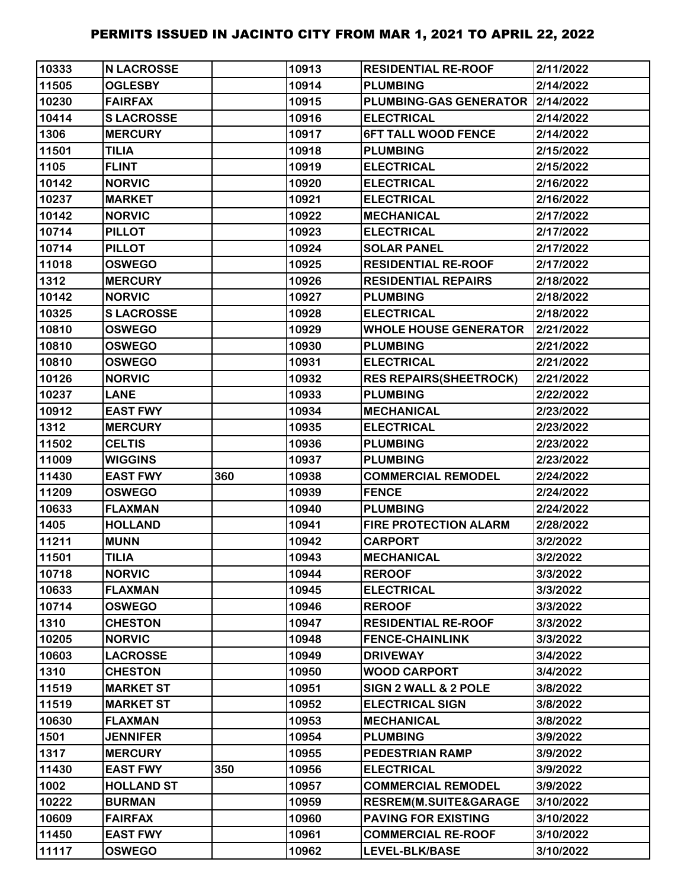| 10333 | <b>N LACROSSE</b> |     | 10913 | <b>RESIDENTIAL RE-ROOF</b>         | 2/11/2022 |
|-------|-------------------|-----|-------|------------------------------------|-----------|
| 11505 | <b>OGLESBY</b>    |     | 10914 | <b>PLUMBING</b>                    | 2/14/2022 |
| 10230 | <b>FAIRFAX</b>    |     | 10915 | PLUMBING-GAS GENERATOR   2/14/2022 |           |
| 10414 | <b>SLACROSSE</b>  |     | 10916 | <b>ELECTRICAL</b>                  | 2/14/2022 |
| 1306  | <b>MERCURY</b>    |     | 10917 | <b>6FT TALL WOOD FENCE</b>         | 2/14/2022 |
| 11501 | <b>TILIA</b>      |     | 10918 | <b>PLUMBING</b>                    | 2/15/2022 |
| 1105  | <b>FLINT</b>      |     | 10919 | <b>ELECTRICAL</b>                  | 2/15/2022 |
| 10142 | <b>NORVIC</b>     |     | 10920 | <b>ELECTRICAL</b>                  | 2/16/2022 |
| 10237 | <b>MARKET</b>     |     | 10921 | <b>ELECTRICAL</b>                  | 2/16/2022 |
| 10142 | <b>NORVIC</b>     |     | 10922 | <b>MECHANICAL</b>                  | 2/17/2022 |
| 10714 | <b>PILLOT</b>     |     | 10923 | <b>ELECTRICAL</b>                  | 2/17/2022 |
| 10714 | <b>PILLOT</b>     |     | 10924 | <b>SOLAR PANEL</b>                 | 2/17/2022 |
| 11018 | <b>OSWEGO</b>     |     | 10925 | <b>RESIDENTIAL RE-ROOF</b>         | 2/17/2022 |
| 1312  | <b>MERCURY</b>    |     | 10926 | <b>RESIDENTIAL REPAIRS</b>         | 2/18/2022 |
| 10142 | <b>NORVIC</b>     |     | 10927 | <b>PLUMBING</b>                    | 2/18/2022 |
| 10325 | <b>SLACROSSE</b>  |     | 10928 | <b>ELECTRICAL</b>                  | 2/18/2022 |
| 10810 | <b>OSWEGO</b>     |     | 10929 | <b>WHOLE HOUSE GENERATOR</b>       | 2/21/2022 |
| 10810 | <b>OSWEGO</b>     |     | 10930 | <b>PLUMBING</b>                    | 2/21/2022 |
| 10810 | <b>OSWEGO</b>     |     | 10931 | <b>ELECTRICAL</b>                  | 2/21/2022 |
| 10126 | <b>NORVIC</b>     |     | 10932 | <b>RES REPAIRS(SHEETROCK)</b>      | 2/21/2022 |
| 10237 | <b>LANE</b>       |     | 10933 | <b>PLUMBING</b>                    | 2/22/2022 |
| 10912 | <b>EAST FWY</b>   |     | 10934 | <b>MECHANICAL</b>                  | 2/23/2022 |
| 1312  | <b>MERCURY</b>    |     | 10935 | <b>ELECTRICAL</b>                  | 2/23/2022 |
| 11502 | <b>CELTIS</b>     |     | 10936 | <b>PLUMBING</b>                    | 2/23/2022 |
| 11009 | <b>WIGGINS</b>    |     | 10937 | <b>PLUMBING</b>                    | 2/23/2022 |
| 11430 | <b>EAST FWY</b>   | 360 | 10938 | <b>COMMERCIAL REMODEL</b>          | 2/24/2022 |
| 11209 | <b>OSWEGO</b>     |     | 10939 | <b>FENCE</b>                       | 2/24/2022 |
| 10633 | <b>FLAXMAN</b>    |     | 10940 | <b>PLUMBING</b>                    | 2/24/2022 |
| 1405  | <b>HOLLAND</b>    |     | 10941 | <b>FIRE PROTECTION ALARM</b>       | 2/28/2022 |
| 11211 | <b>MUNN</b>       |     | 10942 | <b>CARPORT</b>                     | 3/2/2022  |
| 11501 | <b>TILIA</b>      |     | 10943 | <b>MECHANICAL</b>                  | 3/2/2022  |
| 10718 | <b>NORVIC</b>     |     | 10944 | <b>REROOF</b>                      | 3/3/2022  |
| 10633 | <b>FLAXMAN</b>    |     | 10945 | <b>ELECTRICAL</b>                  | 3/3/2022  |
| 10714 | <b>OSWEGO</b>     |     | 10946 | <b>REROOF</b>                      | 3/3/2022  |
| 1310  | <b>CHESTON</b>    |     | 10947 | <b>RESIDENTIAL RE-ROOF</b>         | 3/3/2022  |
| 10205 | <b>NORVIC</b>     |     | 10948 | <b>FENCE-CHAINLINK</b>             | 3/3/2022  |
| 10603 | <b>LACROSSE</b>   |     | 10949 | <b>DRIVEWAY</b>                    | 3/4/2022  |
| 1310  | <b>CHESTON</b>    |     | 10950 | <b>WOOD CARPORT</b>                | 3/4/2022  |
| 11519 | <b>MARKET ST</b>  |     | 10951 | SIGN 2 WALL & 2 POLE               | 3/8/2022  |
| 11519 | <b>MARKET ST</b>  |     | 10952 | <b>ELECTRICAL SIGN</b>             | 3/8/2022  |
| 10630 | <b>FLAXMAN</b>    |     | 10953 | <b>MECHANICAL</b>                  | 3/8/2022  |
| 1501  | <b>JENNIFER</b>   |     | 10954 | <b>PLUMBING</b>                    | 3/9/2022  |
| 1317  | <b>MERCURY</b>    |     | 10955 | <b>PEDESTRIAN RAMP</b>             | 3/9/2022  |
| 11430 | <b>EAST FWY</b>   | 350 | 10956 | <b>ELECTRICAL</b>                  | 3/9/2022  |
| 1002  | <b>HOLLAND ST</b> |     | 10957 | <b>COMMERCIAL REMODEL</b>          | 3/9/2022  |
| 10222 | <b>BURMAN</b>     |     | 10959 | RESREM(M.SUITE&GARAGE              | 3/10/2022 |
| 10609 | <b>FAIRFAX</b>    |     | 10960 | <b>PAVING FOR EXISTING</b>         | 3/10/2022 |
| 11450 | <b>EAST FWY</b>   |     | 10961 | <b>COMMERCIAL RE-ROOF</b>          | 3/10/2022 |
| 11117 | <b>OSWEGO</b>     |     | 10962 | LEVEL-BLK/BASE                     | 3/10/2022 |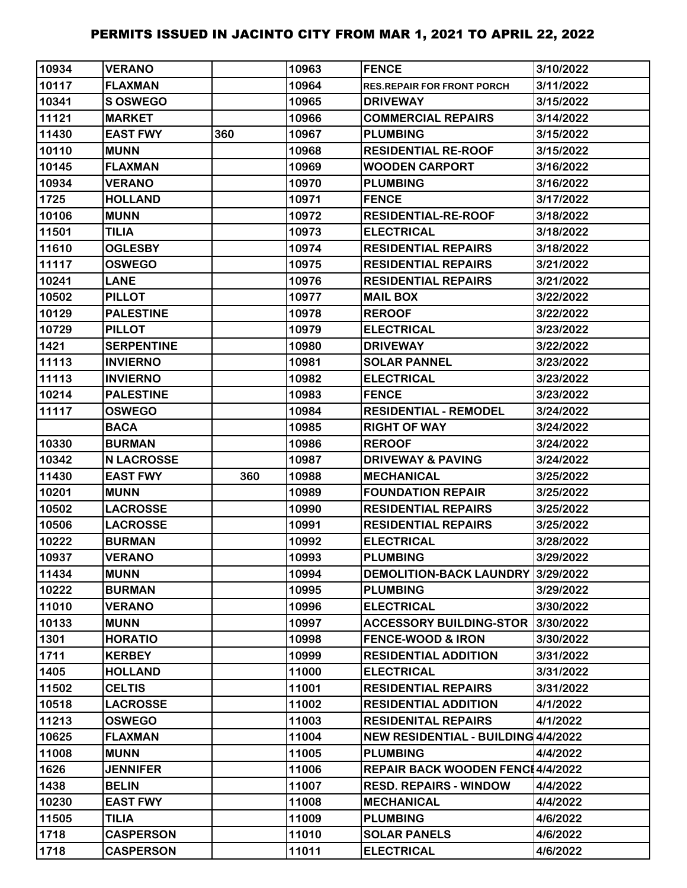| 10934        | <b>VERANO</b>                        |     | 10963          | <b>FENCE</b>                             | 3/10/2022            |
|--------------|--------------------------------------|-----|----------------|------------------------------------------|----------------------|
| 10117        | <b>FLAXMAN</b>                       |     | 10964          | <b>RES.REPAIR FOR FRONT PORCH</b>        | 3/11/2022            |
| 10341        | S OSWEGO                             |     | 10965          | <b>DRIVEWAY</b>                          | 3/15/2022            |
| 11121        | <b>MARKET</b>                        |     | 10966          | <b>COMMERCIAL REPAIRS</b>                | 3/14/2022            |
| 11430        | <b>EAST FWY</b>                      | 360 | 10967          | <b>PLUMBING</b>                          | 3/15/2022            |
| 10110        | <b>MUNN</b>                          |     | 10968          | <b>RESIDENTIAL RE-ROOF</b>               | 3/15/2022            |
| 10145        | <b>FLAXMAN</b>                       |     | 10969          | <b>WOODEN CARPORT</b>                    | 3/16/2022            |
| 10934        | <b>VERANO</b>                        |     | 10970          | <b>PLUMBING</b>                          | 3/16/2022            |
| 1725         | <b>HOLLAND</b>                       |     | 10971          | <b>FENCE</b>                             | 3/17/2022            |
| 10106        | <b>MUNN</b>                          |     | 10972          | <b>RESIDENTIAL-RE-ROOF</b>               | 3/18/2022            |
| 11501        | <b>TILIA</b>                         |     | 10973          | <b>ELECTRICAL</b>                        | 3/18/2022            |
| 11610        | <b>OGLESBY</b>                       |     | 10974          | <b>RESIDENTIAL REPAIRS</b>               | 3/18/2022            |
| 11117        | <b>OSWEGO</b>                        |     | 10975          | <b>RESIDENTIAL REPAIRS</b>               | 3/21/2022            |
| 10241        | <b>LANE</b>                          |     | 10976          | <b>RESIDENTIAL REPAIRS</b>               | 3/21/2022            |
| 10502        | <b>PILLOT</b>                        |     | 10977          | <b>MAIL BOX</b>                          | 3/22/2022            |
| 10129        | <b>PALESTINE</b>                     |     | 10978          | <b>REROOF</b>                            | 3/22/2022            |
| 10729        | <b>PILLOT</b>                        |     | 10979          | <b>ELECTRICAL</b>                        | 3/23/2022            |
| 1421         | <b>SERPENTINE</b>                    |     | 10980          | <b>DRIVEWAY</b>                          | 3/22/2022            |
| 11113        | <b>INVIERNO</b>                      |     | 10981          | <b>SOLAR PANNEL</b>                      | 3/23/2022            |
| 11113        | <b>INVIERNO</b>                      |     | 10982          | <b>ELECTRICAL</b>                        | 3/23/2022            |
| 10214        | <b>PALESTINE</b>                     |     | 10983          | <b>FENCE</b>                             | 3/23/2022            |
| 11117        | <b>OSWEGO</b>                        |     | 10984          | <b>RESIDENTIAL - REMODEL</b>             | 3/24/2022            |
|              | <b>BACA</b>                          |     | 10985          | <b>RIGHT OF WAY</b>                      | 3/24/2022            |
| 10330        | <b>BURMAN</b>                        |     | 10986          | <b>REROOF</b>                            | 3/24/2022            |
|              |                                      |     |                |                                          |                      |
| 10342        | <b>N LACROSSE</b>                    |     | 10987          | <b>DRIVEWAY &amp; PAVING</b>             | 3/24/2022            |
| 11430        | <b>EAST FWY</b>                      | 360 | 10988          | <b>MECHANICAL</b>                        | 3/25/2022            |
| 10201        | <b>MUNN</b>                          |     | 10989          | <b>FOUNDATION REPAIR</b>                 | 3/25/2022            |
| 10502        | <b>LACROSSE</b>                      |     | 10990          | <b>RESIDENTIAL REPAIRS</b>               | 3/25/2022            |
| 10506        | <b>LACROSSE</b>                      |     | 10991          | <b>RESIDENTIAL REPAIRS</b>               | 3/25/2022            |
| 10222        | <b>BURMAN</b>                        |     | 10992          | <b>ELECTRICAL</b>                        | 3/28/2022            |
| 10937        | <b>VERANO</b>                        |     | 10993          | <b>PLUMBING</b>                          | 3/29/2022            |
| 11434        | <b>MUNN</b>                          |     | 10994          | <b>DEMOLITION-BACK LAUNDRY</b>           | 3/29/2022            |
| 10222        | <b>BURMAN</b>                        |     | 10995          | <b>PLUMBING</b>                          | 3/29/2022            |
| 11010        | <b>VERANO</b>                        |     | 10996          | <b>ELECTRICAL</b>                        | 3/30/2022            |
| 10133        | <b>MUNN</b>                          |     | 10997          | <b>ACCESSORY BUILDING-STOR</b>           | 3/30/2022            |
| 1301         | <b>HORATIO</b>                       |     | 10998          | <b>FENCE-WOOD &amp; IRON</b>             | 3/30/2022            |
| 1711         | <b>KERBEY</b>                        |     | 10999          | <b>RESIDENTIAL ADDITION</b>              | 3/31/2022            |
| 1405         | <b>HOLLAND</b>                       |     | 11000          | <b>ELECTRICAL</b>                        | 3/31/2022            |
| 11502        | <b>CELTIS</b>                        |     | 11001          | <b>RESIDENTIAL REPAIRS</b>               | 3/31/2022            |
| 10518        | <b>LACROSSE</b>                      |     | 11002          | <b>RESIDENTIAL ADDITION</b>              | 4/1/2022             |
| 11213        | <b>OSWEGO</b>                        |     | 11003          | <b>RESIDENITAL REPAIRS</b>               | 4/1/2022             |
| 10625        | <b>FLAXMAN</b>                       |     | 11004          | NEW RESIDENTIAL - BUILDING 4/4/2022      |                      |
| 11008        | <b>MUNN</b>                          |     | 11005          | <b>PLUMBING</b>                          | 4/4/2022             |
| 1626         | <b>JENNIFER</b>                      |     | 11006          | <b>REPAIR BACK WOODEN FENC14/4/2022</b>  |                      |
| 1438         | <b>BELIN</b>                         |     | 11007          | <b>RESD. REPAIRS - WINDOW</b>            | 4/4/2022             |
| 10230        | <b>EAST FWY</b>                      |     | 11008          | <b>MECHANICAL</b>                        | 4/4/2022             |
| 11505        | <b>TILIA</b>                         |     | 11009          | <b>PLUMBING</b>                          | 4/6/2022             |
| 1718<br>1718 | <b>CASPERSON</b><br><b>CASPERSON</b> |     | 11010<br>11011 | <b>SOLAR PANELS</b><br><b>ELECTRICAL</b> | 4/6/2022<br>4/6/2022 |